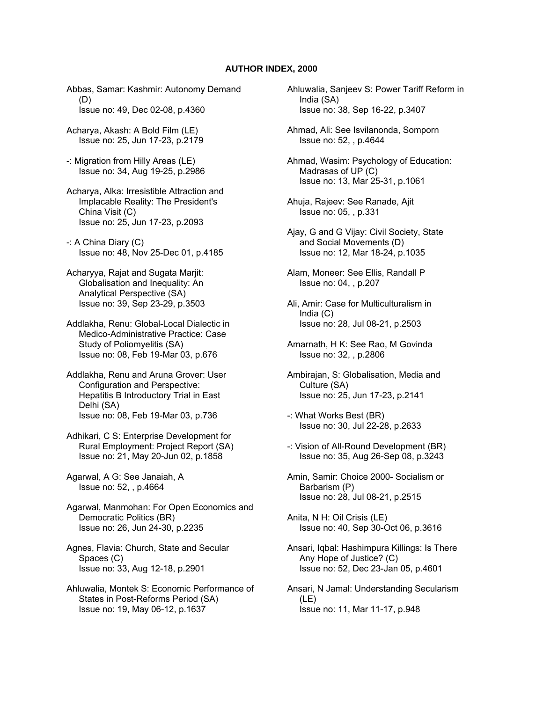## **AUTHOR INDEX, 2000**

Abbas, Samar: Kashmir: Autonomy Demand (D) Issue no: 49, Dec 02-08, p.4360

Acharya, Akash: A Bold Film (LE) Issue no: 25, Jun 17-23, p.2179

-: Migration from Hilly Areas (LE) Issue no: 34, Aug 19-25, p.2986

- Acharya, Alka: Irresistible Attraction and Implacable Reality: The President's China Visit (C) Issue no: 25, Jun 17-23, p.2093
- -: A China Diary (C) Issue no: 48, Nov 25-Dec 01, p.4185
- Acharyya, Rajat and Sugata Marjit: Globalisation and Inequality: An Analytical Perspective (SA) Issue no: 39, Sep 23-29, p.3503
- Addlakha, Renu: Global-Local Dialectic in Medico-Administrative Practice: Case Study of Poliomyelitis (SA) Issue no: 08, Feb 19-Mar 03, p.676
- Addlakha, Renu and Aruna Grover: User Configuration and Perspective: Hepatitis B Introductory Trial in East Delhi (SA) Issue no: 08, Feb 19-Mar 03, p.736
- Adhikari, C S: Enterprise Development for Rural Employment: Project Report (SA) Issue no: 21, May 20-Jun 02, p.1858
- Agarwal, A G: See Janaiah, A Issue no: 52, , p.4664

Agarwal, Manmohan: For Open Economics and Democratic Politics (BR) Issue no: 26, Jun 24-30, p.2235

- Agnes, Flavia: Church, State and Secular Spaces (C) Issue no: 33, Aug 12-18, p.2901
- Ahluwalia, Montek S: Economic Performance of States in Post-Reforms Period (SA) Issue no: 19, May 06-12, p.1637

Ahluwalia, Sanjeev S: Power Tariff Reform in India (SA) Issue no: 38, Sep 16-22, p.3407

Ahmad, Ali: See Isvilanonda, Somporn Issue no: 52, , p.4644

Ahmad, Wasim: Psychology of Education: Madrasas of UP (C) Issue no: 13, Mar 25-31, p.1061

- Ahuja, Rajeev: See Ranade, Ajit Issue no: 05, , p.331
- Ajay, G and G Vijay: Civil Society, State and Social Movements (D) Issue no: 12, Mar 18-24, p.1035
- Alam, Moneer: See Ellis, Randall P Issue no: 04, , p.207
- Ali, Amir: Case for Multiculturalism in India (C) Issue no: 28, Jul 08-21, p.2503
- Amarnath, H K: See Rao, M Govinda Issue no: 32, , p.2806
- Ambirajan, S: Globalisation, Media and Culture (SA) Issue no: 25, Jun 17-23, p.2141
- -: What Works Best (BR) Issue no: 30, Jul 22-28, p.2633
- -: Vision of All-Round Development (BR) Issue no: 35, Aug 26-Sep 08, p.3243
- Amin, Samir: Choice 2000- Socialism or Barbarism (P) Issue no: 28, Jul 08-21, p.2515

Anita, N H: Oil Crisis (LE) Issue no: 40, Sep 30-Oct 06, p.3616

- Ansari, Iqbal: Hashimpura Killings: Is There Any Hope of Justice? (C) Issue no: 52, Dec 23-Jan 05, p.4601
- Ansari, N Jamal: Understanding Secularism (LE) Issue no: 11, Mar 11-17, p.948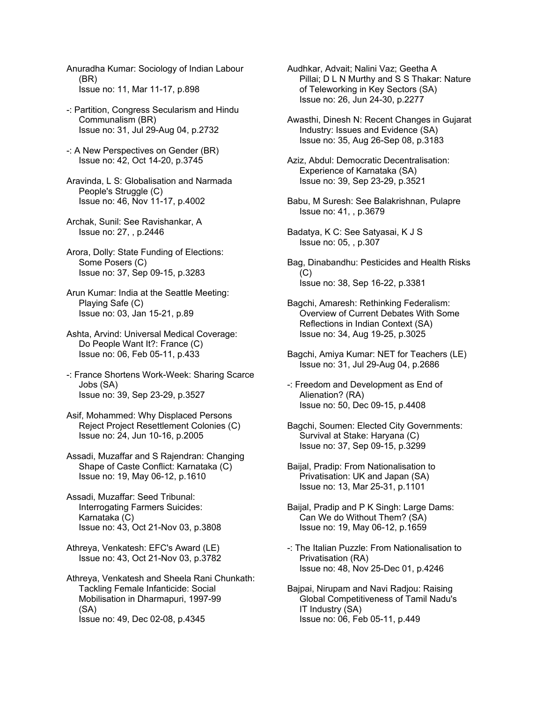Anuradha Kumar: Sociology of Indian Labour (BR) Issue no: 11, Mar 11-17, p.898

- -: Partition, Congress Secularism and Hindu Communalism (BR) Issue no: 31, Jul 29-Aug 04, p.2732
- -: A New Perspectives on Gender (BR) Issue no: 42, Oct 14-20, p.3745
- Aravinda, L S: Globalisation and Narmada People's Struggle (C) Issue no: 46, Nov 11-17, p.4002
- Archak, Sunil: See Ravishankar, A Issue no: 27, , p.2446
- Arora, Dolly: State Funding of Elections: Some Posers (C) Issue no: 37, Sep 09-15, p.3283
- Arun Kumar: India at the Seattle Meeting: Playing Safe (C) Issue no: 03, Jan 15-21, p.89
- Ashta, Arvind: Universal Medical Coverage: Do People Want It?: France (C) Issue no: 06, Feb 05-11, p.433
- -: France Shortens Work-Week: Sharing Scarce Jobs (SA) Issue no: 39, Sep 23-29, p.3527
- Asif, Mohammed: Why Displaced Persons Reject Project Resettlement Colonies (C) Issue no: 24, Jun 10-16, p.2005
- Assadi, Muzaffar and S Rajendran: Changing Shape of Caste Conflict: Karnataka (C) Issue no: 19, May 06-12, p.1610
- Assadi, Muzaffar: Seed Tribunal: Interrogating Farmers Suicides: Karnataka (C) Issue no: 43, Oct 21-Nov 03, p.3808
- Athreya, Venkatesh: EFC's Award (LE) Issue no: 43, Oct 21-Nov 03, p.3782
- Athreya, Venkatesh and Sheela Rani Chunkath: Tackling Female Infanticide: Social Mobilisation in Dharmapuri, 1997-99 (SA) Issue no: 49, Dec 02-08, p.4345
- Audhkar, Advait; Nalini Vaz; Geetha A Pillai; D L N Murthy and S S Thakar: Nature of Teleworking in Key Sectors (SA) Issue no: 26, Jun 24-30, p.2277
- Awasthi, Dinesh N: Recent Changes in Gujarat Industry: Issues and Evidence (SA) Issue no: 35, Aug 26-Sep 08, p.3183
- Aziz, Abdul: Democratic Decentralisation: Experience of Karnataka (SA) Issue no: 39, Sep 23-29, p.3521
- Babu, M Suresh: See Balakrishnan, Pulapre Issue no: 41, , p.3679
- Badatya, K C: See Satyasai, K J S Issue no: 05, , p.307
- Bag, Dinabandhu: Pesticides and Health Risks (C) Issue no: 38, Sep 16-22, p.3381
- Bagchi, Amaresh: Rethinking Federalism: Overview of Current Debates With Some Reflections in Indian Context (SA) Issue no: 34, Aug 19-25, p.3025
- Bagchi, Amiya Kumar: NET for Teachers (LE) Issue no: 31, Jul 29-Aug 04, p.2686
- -: Freedom and Development as End of Alienation? (RA) Issue no: 50, Dec 09-15, p.4408
- Bagchi, Soumen: Elected City Governments: Survival at Stake: Haryana (C) Issue no: 37, Sep 09-15, p.3299
- Baijal, Pradip: From Nationalisation to Privatisation: UK and Japan (SA) Issue no: 13, Mar 25-31, p.1101
- Baijal, Pradip and P K Singh: Large Dams: Can We do Without Them? (SA) Issue no: 19, May 06-12, p.1659
- -: The Italian Puzzle: From Nationalisation to Privatisation (RA) Issue no: 48, Nov 25-Dec 01, p.4246
- Bajpai, Nirupam and Navi Radjou: Raising Global Competitiveness of Tamil Nadu's IT Industry (SA) Issue no: 06, Feb 05-11, p.449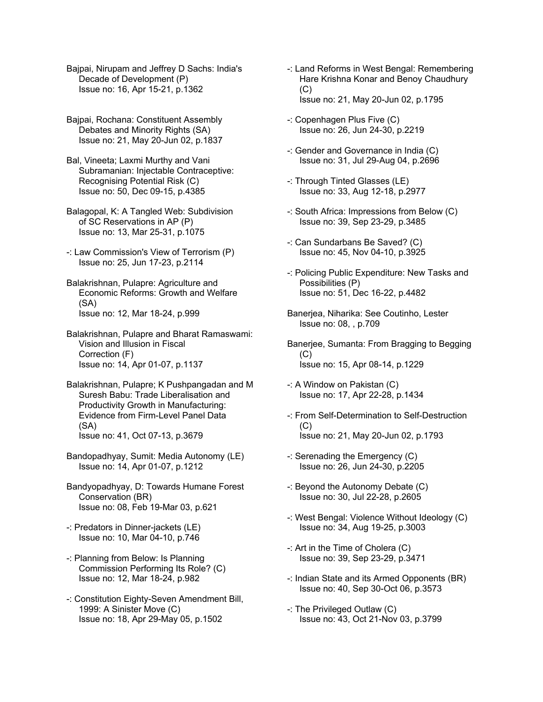Bajpai, Nirupam and Jeffrey D Sachs: India's Decade of Development (P) Issue no: 16, Apr 15-21, p.1362

Bajpai, Rochana: Constituent Assembly Debates and Minority Rights (SA) Issue no: 21, May 20-Jun 02, p.1837

Bal, Vineeta; Laxmi Murthy and Vani Subramanian: Injectable Contraceptive: Recognising Potential Risk (C) Issue no: 50, Dec 09-15, p.4385

Balagopal, K: A Tangled Web: Subdivision of SC Reservations in AP (P) Issue no: 13, Mar 25-31, p.1075

- -: Law Commission's View of Terrorism (P) Issue no: 25, Jun 17-23, p.2114
- Balakrishnan, Pulapre: Agriculture and Economic Reforms: Growth and Welfare (SA) Issue no: 12, Mar 18-24, p.999

Balakrishnan, Pulapre and Bharat Ramaswami: Vision and Illusion in Fiscal Correction (F) Issue no: 14, Apr 01-07, p.1137

- Balakrishnan, Pulapre; K Pushpangadan and M Suresh Babu: Trade Liberalisation and Productivity Growth in Manufacturing: Evidence from Firm-Level Panel Data (SA) Issue no: 41, Oct 07-13, p.3679
- Bandopadhyay, Sumit: Media Autonomy (LE) Issue no: 14, Apr 01-07, p.1212
- Bandyopadhyay, D: Towards Humane Forest Conservation (BR) Issue no: 08, Feb 19-Mar 03, p.621
- -: Predators in Dinner-jackets (LE) Issue no: 10, Mar 04-10, p.746
- -: Planning from Below: Is Planning Commission Performing Its Role? (C) Issue no: 12, Mar 18-24, p.982
- -: Constitution Eighty-Seven Amendment Bill, 1999: A Sinister Move (C) Issue no: 18, Apr 29-May 05, p.1502
- -: Land Reforms in West Bengal: Remembering Hare Krishna Konar and Benoy Chaudhury  $(C)$ Issue no: 21, May 20-Jun 02, p.1795
- -: Copenhagen Plus Five (C) Issue no: 26, Jun 24-30, p.2219
- -: Gender and Governance in India (C) Issue no: 31, Jul 29-Aug 04, p.2696
- -: Through Tinted Glasses (LE) Issue no: 33, Aug 12-18, p.2977
- -: South Africa: Impressions from Below (C) Issue no: 39, Sep 23-29, p.3485
- -: Can Sundarbans Be Saved? (C) Issue no: 45, Nov 04-10, p.3925
- -: Policing Public Expenditure: New Tasks and Possibilities (P) Issue no: 51, Dec 16-22, p.4482
- Banerjea, Niharika: See Coutinho, Lester Issue no: 08, , p.709
- Banerjee, Sumanta: From Bragging to Begging  $(C)$ Issue no: 15, Apr 08-14, p.1229
- -: A Window on Pakistan (C) Issue no: 17, Apr 22-28, p.1434
- -: From Self-Determination to Self-Destruction  $(C)$ Issue no: 21, May 20-Jun 02, p.1793
- -: Serenading the Emergency (C) Issue no: 26, Jun 24-30, p.2205
- -: Beyond the Autonomy Debate (C) Issue no: 30, Jul 22-28, p.2605
- -: West Bengal: Violence Without Ideology (C) Issue no: 34, Aug 19-25, p.3003
- -: Art in the Time of Cholera (C) Issue no: 39, Sep 23-29, p.3471
- -: Indian State and its Armed Opponents (BR) Issue no: 40, Sep 30-Oct 06, p.3573
- -: The Privileged Outlaw (C) Issue no: 43, Oct 21-Nov 03, p.3799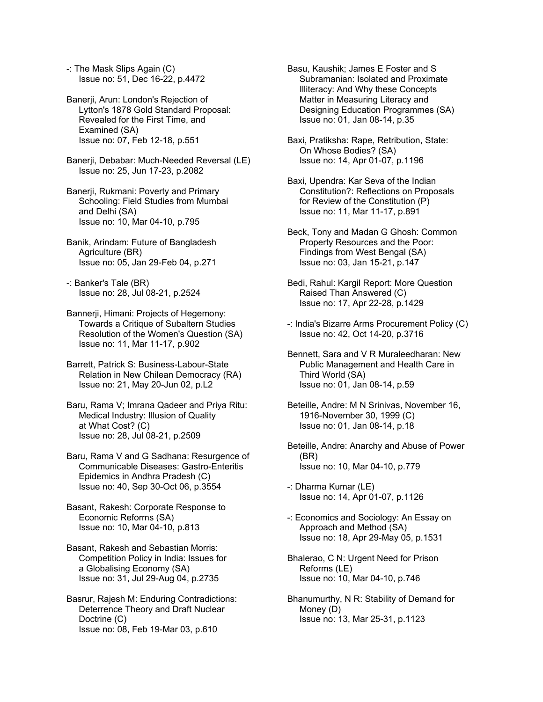-: The Mask Slips Again (C) Issue no: 51, Dec 16-22, p.4472

Banerji, Arun: London's Rejection of Lytton's 1878 Gold Standard Proposal: Revealed for the First Time, and Examined (SA) Issue no: 07, Feb 12-18, p.551

Banerji, Debabar: Much-Needed Reversal (LE) Issue no: 25, Jun 17-23, p.2082

Banerji, Rukmani: Poverty and Primary Schooling: Field Studies from Mumbai and Delhi (SA) Issue no: 10, Mar 04-10, p.795

Banik, Arindam: Future of Bangladesh Agriculture (BR) Issue no: 05, Jan 29-Feb 04, p.271

-: Banker's Tale (BR) Issue no: 28, Jul 08-21, p.2524

Bannerji, Himani: Projects of Hegemony: Towards a Critique of Subaltern Studies Resolution of the Women's Question (SA) Issue no: 11, Mar 11-17, p.902

Barrett, Patrick S: Business-Labour-State Relation in New Chilean Democracy (RA) Issue no: 21, May 20-Jun 02, p.L2

Baru, Rama V; Imrana Qadeer and Priya Ritu: Medical Industry: Illusion of Quality at What Cost? (C) Issue no: 28, Jul 08-21, p.2509

Baru, Rama V and G Sadhana: Resurgence of Communicable Diseases: Gastro-Enteritis Epidemics in Andhra Pradesh (C) Issue no: 40, Sep 30-Oct 06, p.3554

Basant, Rakesh: Corporate Response to Economic Reforms (SA) Issue no: 10, Mar 04-10, p.813

Basant, Rakesh and Sebastian Morris: Competition Policy in India: Issues for a Globalising Economy (SA) Issue no: 31, Jul 29-Aug 04, p.2735

Basrur, Rajesh M: Enduring Contradictions: Deterrence Theory and Draft Nuclear Doctrine (C) Issue no: 08, Feb 19-Mar 03, p.610

Basu, Kaushik; James E Foster and S Subramanian: Isolated and Proximate Illiteracy: And Why these Concepts Matter in Measuring Literacy and Designing Education Programmes (SA) Issue no: 01, Jan 08-14, p.35

Baxi, Pratiksha: Rape, Retribution, State: On Whose Bodies? (SA) Issue no: 14, Apr 01-07, p.1196

Baxi, Upendra: Kar Seva of the Indian Constitution?: Reflections on Proposals for Review of the Constitution (P) Issue no: 11, Mar 11-17, p.891

Beck, Tony and Madan G Ghosh: Common Property Resources and the Poor: Findings from West Bengal (SA) Issue no: 03, Jan 15-21, p.147

Bedi, Rahul: Kargil Report: More Question Raised Than Answered (C) Issue no: 17, Apr 22-28, p.1429

-: India's Bizarre Arms Procurement Policy (C) Issue no: 42, Oct 14-20, p.3716

Bennett, Sara and V R Muraleedharan: New Public Management and Health Care in Third World (SA) Issue no: 01, Jan 08-14, p.59

Beteille, Andre: M N Srinivas, November 16, 1916-November 30, 1999 (C) Issue no: 01, Jan 08-14, p.18

Beteille, Andre: Anarchy and Abuse of Power (BR) Issue no: 10, Mar 04-10, p.779

-: Dharma Kumar (LE) Issue no: 14, Apr 01-07, p.1126

-: Economics and Sociology: An Essay on Approach and Method (SA) Issue no: 18, Apr 29-May 05, p.1531

- Bhalerao, C N: Urgent Need for Prison Reforms (LE) Issue no: 10, Mar 04-10, p.746
- Bhanumurthy, N R: Stability of Demand for Money (D) Issue no: 13, Mar 25-31, p.1123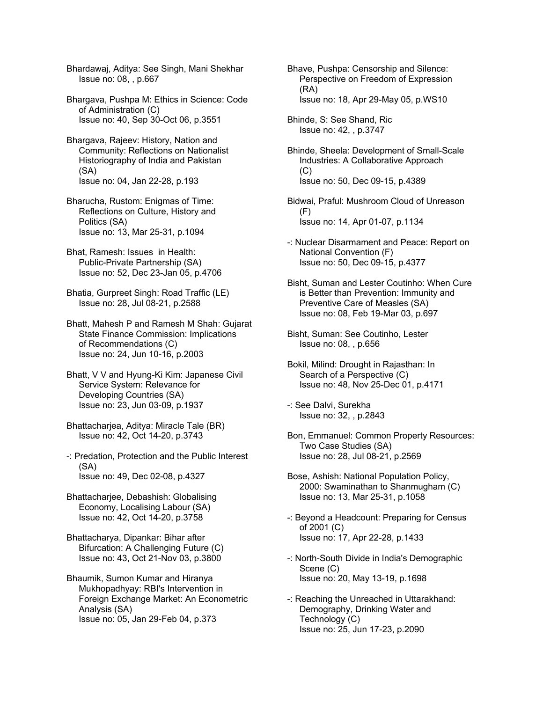Bhardawaj, Aditya: See Singh, Mani Shekhar Issue no: 08, , p.667

Bhargava, Pushpa M: Ethics in Science: Code of Administration (C) Issue no: 40, Sep 30-Oct 06, p.3551

Bhargava, Rajeev: History, Nation and Community: Reflections on Nationalist Historiography of India and Pakistan (SA) Issue no: 04, Jan 22-28, p.193

Bharucha, Rustom: Enigmas of Time: Reflections on Culture, History and Politics (SA) Issue no: 13, Mar 25-31, p.1094

Bhat, Ramesh: Issues in Health: Public-Private Partnership (SA) Issue no: 52, Dec 23-Jan 05, p.4706

Bhatia, Gurpreet Singh: Road Traffic (LE) Issue no: 28, Jul 08-21, p.2588

Bhatt, Mahesh P and Ramesh M Shah: Gujarat State Finance Commission: Implications of Recommendations (C) Issue no: 24, Jun 10-16, p.2003

Bhatt, V V and Hyung-Ki Kim: Japanese Civil Service System: Relevance for Developing Countries (SA) Issue no: 23, Jun 03-09, p.1937

Bhattacharjea, Aditya: Miracle Tale (BR) Issue no: 42, Oct 14-20, p.3743

-: Predation, Protection and the Public Interest (SA) Issue no: 49, Dec 02-08, p.4327

Bhattacharjee, Debashish: Globalising Economy, Localising Labour (SA) Issue no: 42, Oct 14-20, p.3758

Bhattacharya, Dipankar: Bihar after Bifurcation: A Challenging Future (C) Issue no: 43, Oct 21-Nov 03, p.3800

Bhaumik, Sumon Kumar and Hiranya Mukhopadhyay: RBI's Intervention in Foreign Exchange Market: An Econometric Analysis (SA) Issue no: 05, Jan 29-Feb 04, p.373

Bhave, Pushpa: Censorship and Silence: Perspective on Freedom of Expression (RA) Issue no: 18, Apr 29-May 05, p.WS10

Bhinde, S: See Shand, Ric Issue no: 42, , p.3747

Bhinde, Sheela: Development of Small-Scale Industries: A Collaborative Approach (C) Issue no: 50, Dec 09-15, p.4389

Bidwai, Praful: Mushroom Cloud of Unreason  $(F)$ Issue no: 14, Apr 01-07, p.1134

-: Nuclear Disarmament and Peace: Report on National Convention (F) Issue no: 50, Dec 09-15, p.4377

Bisht, Suman and Lester Coutinho: When Cure is Better than Prevention: Immunity and Preventive Care of Measles (SA) Issue no: 08, Feb 19-Mar 03, p.697

Bisht, Suman: See Coutinho, Lester Issue no: 08, , p.656

Bokil, Milind: Drought in Rajasthan: In Search of a Perspective (C) Issue no: 48, Nov 25-Dec 01, p.4171

-: See Dalvi, Surekha Issue no: 32, , p.2843

Bon, Emmanuel: Common Property Resources: Two Case Studies (SA) Issue no: 28, Jul 08-21, p.2569

Bose, Ashish: National Population Policy, 2000: Swaminathan to Shanmugham (C) Issue no: 13, Mar 25-31, p.1058

-: Beyond a Headcount: Preparing for Census of 2001 (C) Issue no: 17, Apr 22-28, p.1433

-: North-South Divide in India's Demographic Scene (C) Issue no: 20, May 13-19, p.1698

-: Reaching the Unreached in Uttarakhand: Demography, Drinking Water and Technology (C) Issue no: 25, Jun 17-23, p.2090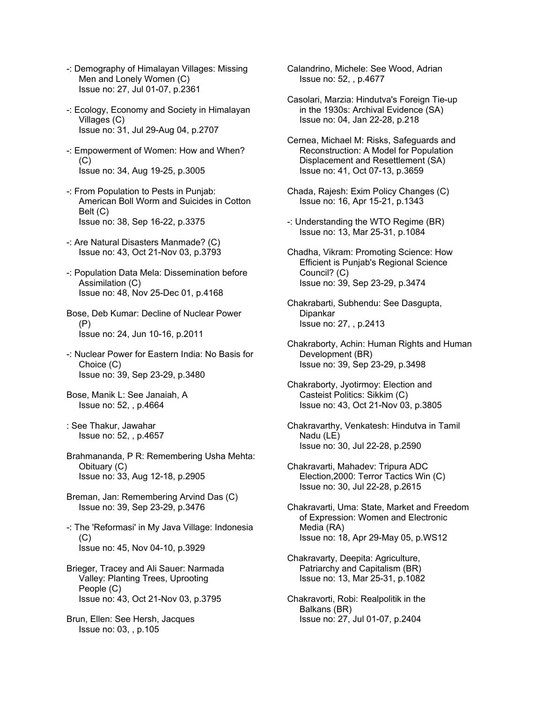- -: Demography of Himalayan Villages: Missing Men and Lonely Women (C) Issue no: 27, Jul 01-07, p.2361
- -: Ecology, Economy and Society in Himalayan Villages (C) Issue no: 31, Jul 29-Aug 04, p.2707
- -: Empowerment of Women: How and When?  $(C)$ Issue no: 34, Aug 19-25, p.3005
- -: From Population to Pests in Punjab: American Boll Worm and Suicides in Cotton Belt (C) Issue no: 38, Sep 16-22, p.3375
- -: Are Natural Disasters Manmade? (C) Issue no: 43, Oct 21-Nov 03, p.3793
- -: Population Data Mela: Dissemination before Assimilation (C) Issue no: 48, Nov 25-Dec 01, p.4168
- Bose, Deb Kumar: Decline of Nuclear Power (P) Issue no: 24, Jun 10-16, p.2011
- -: Nuclear Power for Eastern India: No Basis for Choice (C) Issue no: 39, Sep 23-29, p.3480
- Bose, Manik L: See Janaiah, A Issue no: 52, , p.4664
- : See Thakur, Jawahar Issue no: 52, , p.4657
- Brahmananda, P R: Remembering Usha Mehta: Obituary (C) Issue no: 33, Aug 12-18, p.2905
- Breman, Jan: Remembering Arvind Das (C) Issue no: 39, Sep 23-29, p.3476
- -: The 'Reformasi' in My Java Village: Indonesia (C) Issue no: 45, Nov 04-10, p.3929
- Brieger, Tracey and Ali Sauer: Narmada Valley: Planting Trees, Uprooting People (C) Issue no: 43, Oct 21-Nov 03, p.3795
- Brun, Ellen: See Hersh, Jacques Issue no: 03, , p.105
- Calandrino, Michele: See Wood, Adrian Issue no: 52, , p.4677
- Casolari, Marzia: Hindutva's Foreign Tie-up in the 1930s: Archival Evidence (SA) Issue no: 04, Jan 22-28, p.218
- Cernea, Michael M: Risks, Safeguards and Reconstruction: A Model for Population Displacement and Resettlement (SA) Issue no: 41, Oct 07-13, p.3659
- Chada, Rajesh: Exim Policy Changes (C) Issue no: 16, Apr 15-21, p.1343
- -: Understanding the WTO Regime (BR) Issue no: 13, Mar 25-31, p.1084
- Chadha, Vikram: Promoting Science: How Efficient is Punjab's Regional Science Council? (C) Issue no: 39, Sep 23-29, p.3474
- Chakrabarti, Subhendu: See Dasgupta, Dipankar Issue no: 27, , p.2413
- Chakraborty, Achin: Human Rights and Human Development (BR) Issue no: 39, Sep 23-29, p.3498
- Chakraborty, Jyotirmoy: Election and Casteist Politics: Sikkim (C) Issue no: 43, Oct 21-Nov 03, p.3805
- Chakravarthy, Venkatesh: Hindutva in Tamil Nadu (LE) Issue no: 30, Jul 22-28, p.2590
- Chakravarti, Mahadev: Tripura ADC Election,2000: Terror Tactics Win (C) Issue no: 30, Jul 22-28, p.2615
- Chakravarti, Uma: State, Market and Freedom of Expression: Women and Electronic Media (RA) Issue no: 18, Apr 29-May 05, p.WS12
- Chakravarty, Deepita: Agriculture, Patriarchy and Capitalism (BR) Issue no: 13, Mar 25-31, p.1082
- Chakravorti, Robi: Realpolitik in the Balkans (BR) Issue no: 27, Jul 01-07, p.2404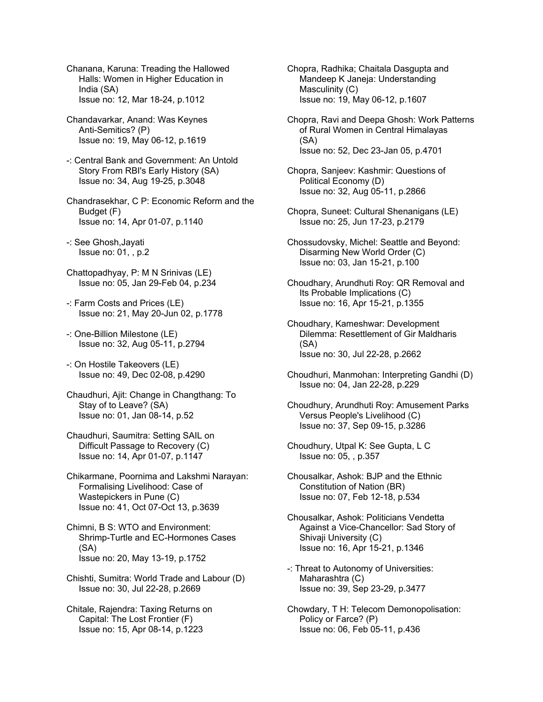Chanana, Karuna: Treading the Hallowed Halls: Women in Higher Education in India (SA) Issue no: 12, Mar 18-24, p.1012

- Chandavarkar, Anand: Was Keynes Anti-Semitics? (P) Issue no: 19, May 06-12, p.1619
- -: Central Bank and Government: An Untold Story From RBI's Early History (SA) Issue no: 34, Aug 19-25, p.3048
- Chandrasekhar, C P: Economic Reform and the Budget (F) Issue no: 14, Apr 01-07, p.1140
- -: See Ghosh,Jayati Issue no: 01, , p.2
- Chattopadhyay, P: M N Srinivas (LE) Issue no: 05, Jan 29-Feb 04, p.234
- -: Farm Costs and Prices (LE) Issue no: 21, May 20-Jun 02, p.1778
- -: One-Billion Milestone (LE) Issue no: 32, Aug 05-11, p.2794
- -: On Hostile Takeovers (LE) Issue no: 49, Dec 02-08, p.4290
- Chaudhuri, Ajit: Change in Changthang: To Stay of to Leave? (SA) Issue no: 01, Jan 08-14, p.52
- Chaudhuri, Saumitra: Setting SAIL on Difficult Passage to Recovery (C) Issue no: 14, Apr 01-07, p.1147
- Chikarmane, Poornima and Lakshmi Narayan: Formalising Livelihood: Case of Wastepickers in Pune (C) Issue no: 41, Oct 07-Oct 13, p.3639
- Chimni, B S: WTO and Environment: Shrimp-Turtle and EC-Hormones Cases (SA) Issue no: 20, May 13-19, p.1752
- Chishti, Sumitra: World Trade and Labour (D) Issue no: 30, Jul 22-28, p.2669
- Chitale, Rajendra: Taxing Returns on Capital: The Lost Frontier (F) Issue no: 15, Apr 08-14, p.1223

Chopra, Radhika; Chaitala Dasgupta and Mandeep K Janeja: Understanding Masculinity (C) Issue no: 19, May 06-12, p.1607

- Chopra, Ravi and Deepa Ghosh: Work Patterns of Rural Women in Central Himalayas (SA) Issue no: 52, Dec 23-Jan 05, p.4701
- Chopra, Sanjeev: Kashmir: Questions of Political Economy (D) Issue no: 32, Aug 05-11, p.2866
- Chopra, Suneet: Cultural Shenanigans (LE) Issue no: 25, Jun 17-23, p.2179
- Chossudovsky, Michel: Seattle and Beyond: Disarming New World Order (C) Issue no: 03, Jan 15-21, p.100
- Choudhary, Arundhuti Roy: QR Removal and Its Probable Implications (C) Issue no: 16, Apr 15-21, p.1355
- Choudhary, Kameshwar: Development Dilemma: Resettlement of Gir Maldharis (SA) Issue no: 30, Jul 22-28, p.2662
- Choudhuri, Manmohan: Interpreting Gandhi (D) Issue no: 04, Jan 22-28, p.229
- Choudhury, Arundhuti Roy: Amusement Parks Versus People's Livelihood (C) Issue no: 37, Sep 09-15, p.3286
- Choudhury, Utpal K: See Gupta, L C Issue no: 05, , p.357
- Chousalkar, Ashok: BJP and the Ethnic Constitution of Nation (BR) Issue no: 07, Feb 12-18, p.534
- Chousalkar, Ashok: Politicians Vendetta Against a Vice-Chancellor: Sad Story of Shivaji University (C) Issue no: 16, Apr 15-21, p.1346
- -: Threat to Autonomy of Universities: Maharashtra (C) Issue no: 39, Sep 23-29, p.3477
- Chowdary, T H: Telecom Demonopolisation: Policy or Farce? (P) Issue no: 06, Feb 05-11, p.436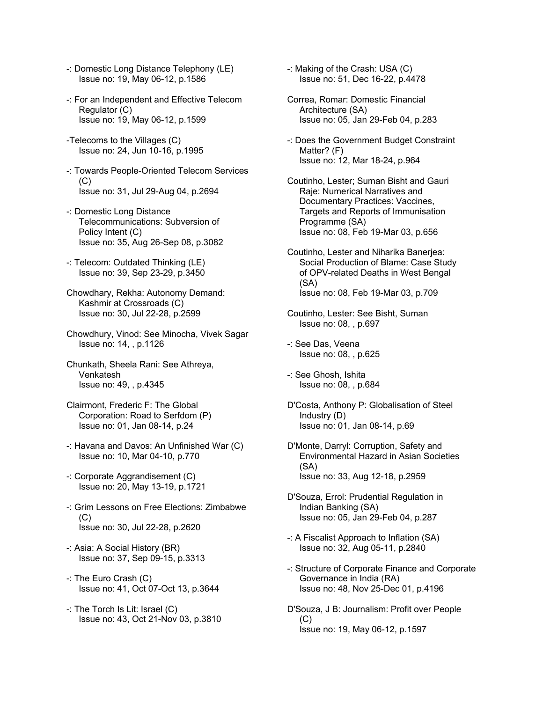- -: Domestic Long Distance Telephony (LE) Issue no: 19, May 06-12, p.1586
- -: For an Independent and Effective Telecom Regulator (C) Issue no: 19, May 06-12, p.1599
- -Telecoms to the Villages (C) Issue no: 24, Jun 10-16, p.1995
- -: Towards People-Oriented Telecom Services (C) Issue no: 31, Jul 29-Aug 04, p.2694
- -: Domestic Long Distance Telecommunications: Subversion of Policy Intent (C) Issue no: 35, Aug 26-Sep 08, p.3082
- -: Telecom: Outdated Thinking (LE) Issue no: 39, Sep 23-29, p.3450
- Chowdhary, Rekha: Autonomy Demand: Kashmir at Crossroads (C) Issue no: 30, Jul 22-28, p.2599
- Chowdhury, Vinod: See Minocha, Vivek Sagar Issue no: 14, , p.1126
- Chunkath, Sheela Rani: See Athreya, Venkatesh Issue no: 49, , p.4345
- Clairmont, Frederic F: The Global Corporation: Road to Serfdom (P) Issue no: 01, Jan 08-14, p.24
- -: Havana and Davos: An Unfinished War (C) Issue no: 10, Mar 04-10, p.770
- -: Corporate Aggrandisement (C) Issue no: 20, May 13-19, p.1721
- -: Grim Lessons on Free Elections: Zimbabwe (C) Issue no: 30, Jul 22-28, p.2620
- -: Asia: A Social History (BR) Issue no: 37, Sep 09-15, p.3313
- -: The Euro Crash (C) Issue no: 41, Oct 07-Oct 13, p.3644
- -: The Torch Is Lit: Israel (C) Issue no: 43, Oct 21-Nov 03, p.3810
- -: Making of the Crash: USA (C) Issue no: 51, Dec 16-22, p.4478
- Correa, Romar: Domestic Financial Architecture (SA) Issue no: 05, Jan 29-Feb 04, p.283
- -: Does the Government Budget Constraint Matter? (F) Issue no: 12, Mar 18-24, p.964
- Coutinho, Lester; Suman Bisht and Gauri Raje: Numerical Narratives and Documentary Practices: Vaccines, Targets and Reports of Immunisation Programme (SA) Issue no: 08, Feb 19-Mar 03, p.656
- Coutinho, Lester and Niharika Banerjea: Social Production of Blame: Case Study of OPV-related Deaths in West Bengal (SA) Issue no: 08, Feb 19-Mar 03, p.709
- Coutinho, Lester: See Bisht, Suman Issue no: 08, , p.697
- -: See Das, Veena Issue no: 08, , p.625
- -: See Ghosh, Ishita Issue no: 08, , p.684
- D'Costa, Anthony P: Globalisation of Steel Industry (D) Issue no: 01, Jan 08-14, p.69
- D'Monte, Darryl: Corruption, Safety and Environmental Hazard in Asian Societies (SA) Issue no: 33, Aug 12-18, p.2959
- D'Souza, Errol: Prudential Regulation in Indian Banking (SA) Issue no: 05, Jan 29-Feb 04, p.287
- -: A Fiscalist Approach to Inflation (SA) Issue no: 32, Aug 05-11, p.2840
- -: Structure of Corporate Finance and Corporate Governance in India (RA) Issue no: 48, Nov 25-Dec 01, p.4196
- D'Souza, J B: Journalism: Profit over People  $(C)$ Issue no: 19, May 06-12, p.1597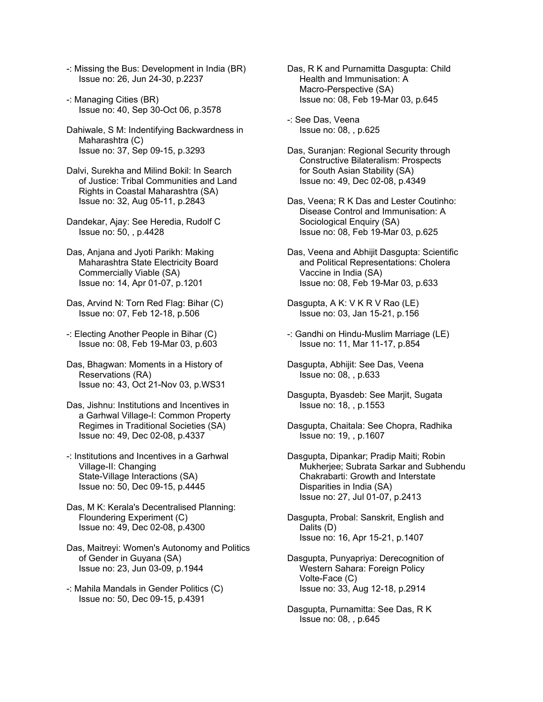- -: Missing the Bus: Development in India (BR) Issue no: 26, Jun 24-30, p.2237
- -: Managing Cities (BR) Issue no: 40, Sep 30-Oct 06, p.3578
- Dahiwale, S M: Indentifying Backwardness in Maharashtra (C) Issue no: 37, Sep 09-15, p.3293
- Dalvi, Surekha and Milind Bokil: In Search of Justice: Tribal Communities and Land Rights in Coastal Maharashtra (SA) Issue no: 32, Aug 05-11, p.2843
- Dandekar, Ajay: See Heredia, Rudolf C Issue no: 50, , p.4428
- Das, Anjana and Jyoti Parikh: Making Maharashtra State Electricity Board Commercially Viable (SA) Issue no: 14, Apr 01-07, p.1201
- Das, Arvind N: Torn Red Flag: Bihar (C) Issue no: 07, Feb 12-18, p.506
- -: Electing Another People in Bihar (C) Issue no: 08, Feb 19-Mar 03, p.603
- Das, Bhagwan: Moments in a History of Reservations (RA) Issue no: 43, Oct 21-Nov 03, p.WS31
- Das, Jishnu: Institutions and Incentives in a Garhwal Village-I: Common Property Regimes in Traditional Societies (SA) Issue no: 49, Dec 02-08, p.4337
- -: Institutions and Incentives in a Garhwal Village-II: Changing State-Village Interactions (SA) Issue no: 50, Dec 09-15, p.4445
- Das, M K: Kerala's Decentralised Planning: Floundering Experiment (C) Issue no: 49, Dec 02-08, p.4300
- Das, Maitreyi: Women's Autonomy and Politics of Gender in Guyana (SA) Issue no: 23, Jun 03-09, p.1944
- -: Mahila Mandals in Gender Politics (C) Issue no: 50, Dec 09-15, p.4391
- Das, R K and Purnamitta Dasgupta: Child Health and Immunisation: A Macro-Perspective (SA) Issue no: 08, Feb 19-Mar 03, p.645
- -: See Das, Veena Issue no: 08, , p.625
- Das, Suranjan: Regional Security through Constructive Bilateralism: Prospects for South Asian Stability (SA) Issue no: 49, Dec 02-08, p.4349
- Das, Veena; R K Das and Lester Coutinho: Disease Control and Immunisation: A Sociological Enquiry (SA) Issue no: 08, Feb 19-Mar 03, p.625
- Das, Veena and Abhijit Dasgupta: Scientific and Political Representations: Cholera Vaccine in India (SA) Issue no: 08, Feb 19-Mar 03, p.633
- Dasgupta, A K: V K R V Rao (LE) Issue no: 03, Jan 15-21, p.156
- -: Gandhi on Hindu-Muslim Marriage (LE) Issue no: 11, Mar 11-17, p.854
- Dasgupta, Abhijit: See Das, Veena Issue no: 08, , p.633
- Dasgupta, Byasdeb: See Marjit, Sugata Issue no: 18, , p.1553
- Dasgupta, Chaitala: See Chopra, Radhika Issue no: 19, , p.1607
- Dasgupta, Dipankar; Pradip Maiti; Robin Mukherjee; Subrata Sarkar and Subhendu Chakrabarti: Growth and Interstate Disparities in India (SA) Issue no: 27, Jul 01-07, p.2413
- Dasgupta, Probal: Sanskrit, English and Dalits (D) Issue no: 16, Apr 15-21, p.1407
- Dasgupta, Punyapriya: Derecognition of Western Sahara: Foreign Policy Volte-Face (C) Issue no: 33, Aug 12-18, p.2914
- Dasgupta, Purnamitta: See Das, R K Issue no: 08, , p.645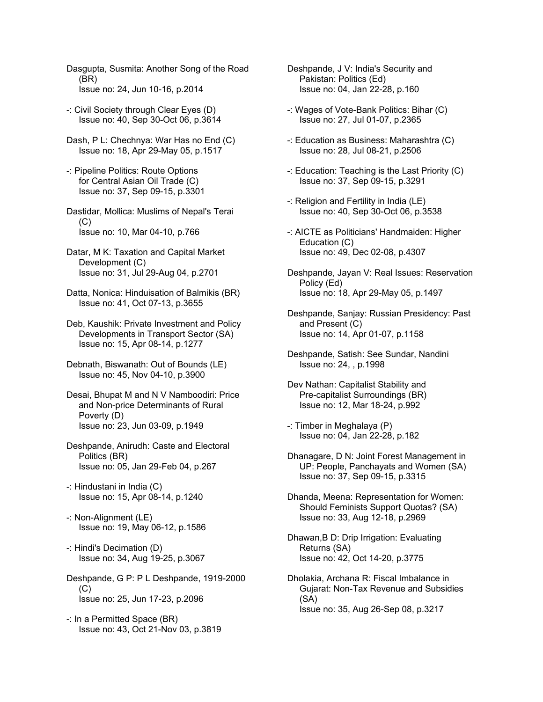Dasgupta, Susmita: Another Song of the Road (BR) Issue no: 24, Jun 10-16, p.2014

- -: Civil Society through Clear Eyes (D) Issue no: 40, Sep 30-Oct 06, p.3614
- Dash, P L: Chechnya: War Has no End (C) Issue no: 18, Apr 29-May 05, p.1517
- -: Pipeline Politics: Route Options for Central Asian Oil Trade (C) Issue no: 37, Sep 09-15, p.3301
- Dastidar, Mollica: Muslims of Nepal's Terai  $(C)$ Issue no: 10, Mar 04-10, p.766
- Datar, M K: Taxation and Capital Market Development (C) Issue no: 31, Jul 29-Aug 04, p.2701
- Datta, Nonica: Hinduisation of Balmikis (BR) Issue no: 41, Oct 07-13, p.3655
- Deb, Kaushik: Private Investment and Policy Developments in Transport Sector (SA) Issue no: 15, Apr 08-14, p.1277
- Debnath, Biswanath: Out of Bounds (LE) Issue no: 45, Nov 04-10, p.3900
- Desai, Bhupat M and N V Namboodiri: Price and Non-price Determinants of Rural Poverty (D) Issue no: 23, Jun 03-09, p.1949
- Deshpande, Anirudh: Caste and Electoral Politics (BR) Issue no: 05, Jan 29-Feb 04, p.267
- -: Hindustani in India (C) Issue no: 15, Apr 08-14, p.1240
- -: Non-Alignment (LE) Issue no: 19, May 06-12, p.1586
- -: Hindi's Decimation (D) Issue no: 34, Aug 19-25, p.3067
- Deshpande, G P: P L Deshpande, 1919-2000  $(C)$ Issue no: 25, Jun 17-23, p.2096
- -: In a Permitted Space (BR) Issue no: 43, Oct 21-Nov 03, p.3819
- Deshpande, J V: India's Security and Pakistan: Politics (Ed) Issue no: 04, Jan 22-28, p.160
- -: Wages of Vote-Bank Politics: Bihar (C) Issue no: 27, Jul 01-07, p.2365
- -: Education as Business: Maharashtra (C) Issue no: 28, Jul 08-21, p.2506
- -: Education: Teaching is the Last Priority (C) Issue no: 37, Sep 09-15, p.3291
- -: Religion and Fertility in India (LE) Issue no: 40, Sep 30-Oct 06, p.3538
- -: AICTE as Politicians' Handmaiden: Higher Education (C) Issue no: 49, Dec 02-08, p.4307
- Deshpande, Jayan V: Real Issues: Reservation Policy (Ed) Issue no: 18, Apr 29-May 05, p.1497
- Deshpande, Sanjay: Russian Presidency: Past and Present (C) Issue no: 14, Apr 01-07, p.1158
- Deshpande, Satish: See Sundar, Nandini Issue no: 24, , p.1998
- Dev Nathan: Capitalist Stability and Pre-capitalist Surroundings (BR) Issue no: 12, Mar 18-24, p.992
- -: Timber in Meghalaya (P) Issue no: 04, Jan 22-28, p.182
- Dhanagare, D N: Joint Forest Management in UP: People, Panchayats and Women (SA) Issue no: 37, Sep 09-15, p.3315
- Dhanda, Meena: Representation for Women: Should Feminists Support Quotas? (SA) Issue no: 33, Aug 12-18, p.2969
- Dhawan,B D: Drip Irrigation: Evaluating Returns (SA) Issue no: 42, Oct 14-20, p.3775
- Dholakia, Archana R: Fiscal Imbalance in Gujarat: Non-Tax Revenue and Subsidies (SA) Issue no: 35, Aug 26-Sep 08, p.3217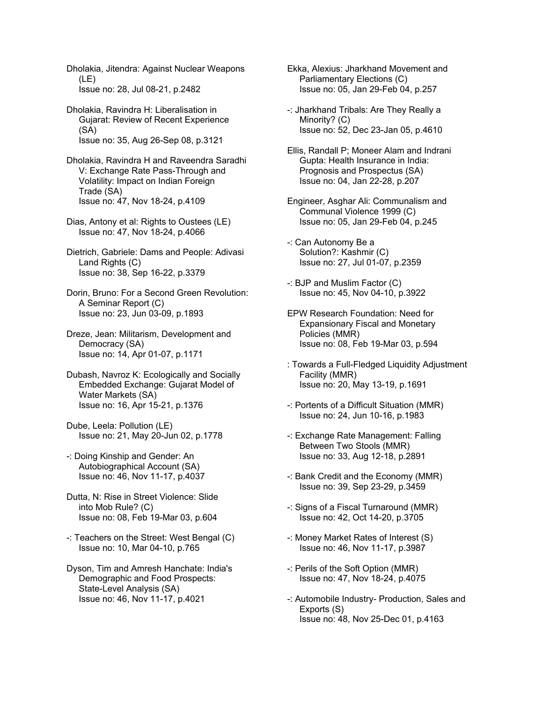Dholakia, Jitendra: Against Nuclear Weapons (LE) Issue no: 28, Jul 08-21, p.2482

Dholakia, Ravindra H: Liberalisation in Gujarat: Review of Recent Experience (SA) Issue no: 35, Aug 26-Sep 08, p.3121

Dholakia, Ravindra H and Raveendra Saradhi V: Exchange Rate Pass-Through and Volatility: Impact on Indian Foreign Trade (SA) Issue no: 47, Nov 18-24, p.4109

Dias, Antony et al: Rights to Oustees (LE) Issue no: 47, Nov 18-24, p.4066

Dietrich, Gabriele: Dams and People: Adivasi Land Rights (C) Issue no: 38, Sep 16-22, p.3379

Dorin, Bruno: For a Second Green Revolution: A Seminar Report (C) Issue no: 23, Jun 03-09, p.1893

Dreze, Jean: Militarism, Development and Democracy (SA) Issue no: 14, Apr 01-07, p.1171

Dubash, Navroz K: Ecologically and Socially Embedded Exchange: Gujarat Model of Water Markets (SA) Issue no: 16, Apr 15-21, p.1376

Dube, Leela: Pollution (LE) Issue no: 21, May 20-Jun 02, p.1778

-: Doing Kinship and Gender: An Autobiographical Account (SA) Issue no: 46, Nov 11-17, p.4037

Dutta, N: Rise in Street Violence: Slide into Mob Rule? (C) Issue no: 08, Feb 19-Mar 03, p.604

-: Teachers on the Street: West Bengal (C) Issue no: 10, Mar 04-10, p.765

Dyson, Tim and Amresh Hanchate: India's Demographic and Food Prospects: State-Level Analysis (SA) Issue no: 46, Nov 11-17, p.4021

Ekka, Alexius: Jharkhand Movement and Parliamentary Elections (C) Issue no: 05, Jan 29-Feb 04, p.257

-: Jharkhand Tribals: Are They Really a Minority? (C) Issue no: 52, Dec 23-Jan 05, p.4610

Ellis, Randall P; Moneer Alam and Indrani Gupta: Health Insurance in India: Prognosis and Prospectus (SA) Issue no: 04, Jan 22-28, p.207

Engineer, Asghar Ali: Communalism and Communal Violence 1999 (C) Issue no: 05, Jan 29-Feb 04, p.245

-: Can Autonomy Be a Solution?: Kashmir (C) Issue no: 27, Jul 01-07, p.2359

-: BJP and Muslim Factor (C) Issue no: 45, Nov 04-10, p.3922

EPW Research Foundation: Need for Expansionary Fiscal and Monetary Policies (MMR) Issue no: 08, Feb 19-Mar 03, p.594

: Towards a Full-Fledged Liquidity Adjustment Facility (MMR) Issue no: 20, May 13-19, p.1691

-: Portents of a Difficult Situation (MMR) Issue no: 24, Jun 10-16, p.1983

-: Exchange Rate Management: Falling Between Two Stools (MMR) Issue no: 33, Aug 12-18, p.2891

-: Bank Credit and the Economy (MMR) Issue no: 39, Sep 23-29, p.3459

-: Signs of a Fiscal Turnaround (MMR) Issue no: 42, Oct 14-20, p.3705

-: Money Market Rates of Interest (S) Issue no: 46, Nov 11-17, p.3987

-: Perils of the Soft Option (MMR) Issue no: 47, Nov 18-24, p.4075

-: Automobile Industry- Production, Sales and Exports (S) Issue no: 48, Nov 25-Dec 01, p.4163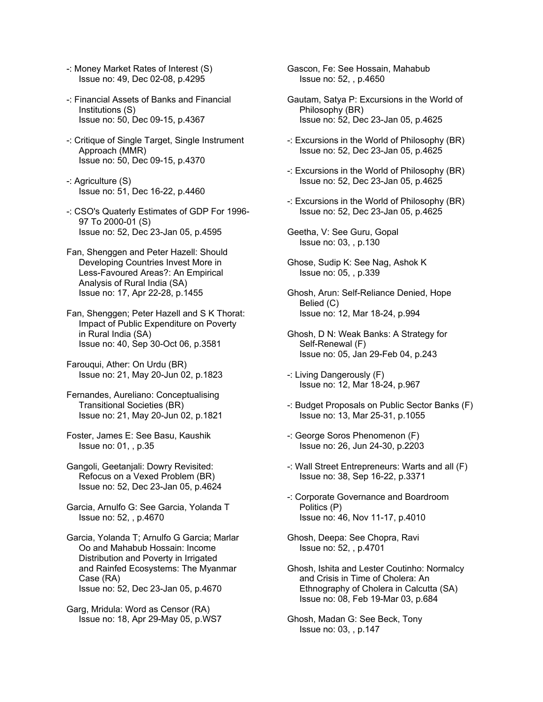- -: Money Market Rates of Interest (S) Issue no: 49, Dec 02-08, p.4295
- -: Financial Assets of Banks and Financial Institutions (S) Issue no: 50, Dec 09-15, p.4367
- -: Critique of Single Target, Single Instrument Approach (MMR) Issue no: 50, Dec 09-15, p.4370
- -: Agriculture (S) Issue no: 51, Dec 16-22, p.4460
- -: CSO's Quaterly Estimates of GDP For 1996- 97 To 2000-01 (S) Issue no: 52, Dec 23-Jan 05, p.4595
- Fan, Shenggen and Peter Hazell: Should Developing Countries Invest More in Less-Favoured Areas?: An Empirical Analysis of Rural India (SA) Issue no: 17, Apr 22-28, p.1455
- Fan, Shenggen; Peter Hazell and S K Thorat: Impact of Public Expenditure on Poverty in Rural India (SA) Issue no: 40, Sep 30-Oct 06, p.3581
- Farouqui, Ather: On Urdu (BR) Issue no: 21, May 20-Jun 02, p.1823
- Fernandes, Aureliano: Conceptualising Transitional Societies (BR) Issue no: 21, May 20-Jun 02, p.1821
- Foster, James E: See Basu, Kaushik Issue no: 01, , p.35
- Gangoli, Geetanjali: Dowry Revisited: Refocus on a Vexed Problem (BR) Issue no: 52, Dec 23-Jan 05, p.4624
- Garcia, Arnulfo G: See Garcia, Yolanda T Issue no: 52, , p.4670
- Garcia, Yolanda T; Arnulfo G Garcia; Marlar Oo and Mahabub Hossain: Income Distribution and Poverty in Irrigated and Rainfed Ecosystems: The Myanmar Case (RA) Issue no: 52, Dec 23-Jan 05, p.4670
- Garg, Mridula: Word as Censor (RA) Issue no: 18, Apr 29-May 05, p.WS7

Gascon, Fe: See Hossain, Mahabub Issue no: 52, , p.4650

- Gautam, Satya P: Excursions in the World of Philosophy (BR) Issue no: 52, Dec 23-Jan 05, p.4625
- -: Excursions in the World of Philosophy (BR) Issue no: 52, Dec 23-Jan 05, p.4625
- -: Excursions in the World of Philosophy (BR) Issue no: 52, Dec 23-Jan 05, p.4625
- -: Excursions in the World of Philosophy (BR) Issue no: 52, Dec 23-Jan 05, p.4625
- Geetha, V: See Guru, Gopal Issue no: 03, , p.130
- Ghose, Sudip K: See Nag, Ashok K Issue no: 05, , p.339
- Ghosh, Arun: Self-Reliance Denied, Hope Belied (C) Issue no: 12, Mar 18-24, p.994
- Ghosh, D N: Weak Banks: A Strategy for Self-Renewal (F) Issue no: 05, Jan 29-Feb 04, p.243
- -: Living Dangerously (F) Issue no: 12, Mar 18-24, p.967
- -: Budget Proposals on Public Sector Banks (F) Issue no: 13, Mar 25-31, p.1055
- -: George Soros Phenomenon (F) Issue no: 26, Jun 24-30, p.2203
- -: Wall Street Entrepreneurs: Warts and all (F) Issue no: 38, Sep 16-22, p.3371
- -: Corporate Governance and Boardroom Politics (P) Issue no: 46, Nov 11-17, p.4010
- Ghosh, Deepa: See Chopra, Ravi Issue no: 52, , p.4701
- Ghosh, Ishita and Lester Coutinho: Normalcy and Crisis in Time of Cholera: An Ethnography of Cholera in Calcutta (SA) Issue no: 08, Feb 19-Mar 03, p.684
- Ghosh, Madan G: See Beck, Tony Issue no: 03, , p.147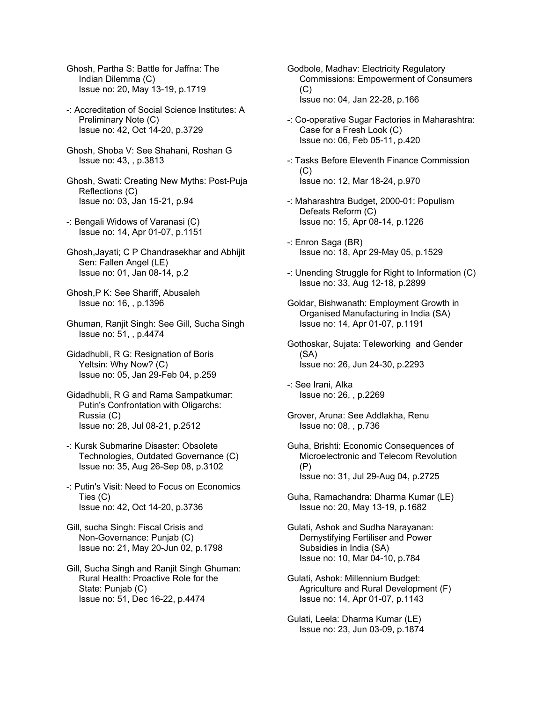- Ghosh, Partha S: Battle for Jaffna: The Indian Dilemma (C) Issue no: 20, May 13-19, p.1719
- -: Accreditation of Social Science Institutes: A Preliminary Note (C) Issue no: 42, Oct 14-20, p.3729
- Ghosh, Shoba V: See Shahani, Roshan G Issue no: 43, , p.3813
- Ghosh, Swati: Creating New Myths: Post-Puja Reflections (C) Issue no: 03, Jan 15-21, p.94
- -: Bengali Widows of Varanasi (C) Issue no: 14, Apr 01-07, p.1151
- Ghosh,Jayati; C P Chandrasekhar and Abhijit Sen: Fallen Angel (LE) Issue no: 01, Jan 08-14, p.2
- Ghosh,P K: See Shariff, Abusaleh Issue no: 16, , p.1396
- Ghuman, Ranjit Singh: See Gill, Sucha Singh Issue no: 51, , p.4474
- Gidadhubli, R G: Resignation of Boris Yeltsin: Why Now? (C) Issue no: 05, Jan 29-Feb 04, p.259
- Gidadhubli, R G and Rama Sampatkumar: Putin's Confrontation with Oligarchs: Russia (C) Issue no: 28, Jul 08-21, p.2512
- -: Kursk Submarine Disaster: Obsolete Technologies, Outdated Governance (C) Issue no: 35, Aug 26-Sep 08, p.3102
- -: Putin's Visit: Need to Focus on Economics Ties (C) Issue no: 42, Oct 14-20, p.3736
- Gill, sucha Singh: Fiscal Crisis and Non-Governance: Punjab (C) Issue no: 21, May 20-Jun 02, p.1798
- Gill, Sucha Singh and Ranjit Singh Ghuman: Rural Health: Proactive Role for the State: Punjab (C) Issue no: 51, Dec 16-22, p.4474
- Godbole, Madhav: Electricity Regulatory Commissions: Empowerment of Consumers  $(C)$ Issue no: 04, Jan 22-28, p.166
- -: Co-operative Sugar Factories in Maharashtra: Case for a Fresh Look (C) Issue no: 06, Feb 05-11, p.420
- -: Tasks Before Eleventh Finance Commission  $(C)$ Issue no: 12, Mar 18-24, p.970
- -: Maharashtra Budget, 2000-01: Populism Defeats Reform (C) Issue no: 15, Apr 08-14, p.1226
- -: Enron Saga (BR) Issue no: 18, Apr 29-May 05, p.1529
- -: Unending Struggle for Right to Information (C) Issue no: 33, Aug 12-18, p.2899
- Goldar, Bishwanath: Employment Growth in Organised Manufacturing in India (SA) Issue no: 14, Apr 01-07, p.1191
- Gothoskar, Sujata: Teleworking and Gender (SA) Issue no: 26, Jun 24-30, p.2293
- -: See Irani, Alka Issue no: 26, , p.2269
- Grover, Aruna: See Addlakha, Renu Issue no: 08, , p.736
- Guha, Brishti: Economic Consequences of Microelectronic and Telecom Revolution (P) Issue no: 31, Jul 29-Aug 04, p.2725
- Guha, Ramachandra: Dharma Kumar (LE) Issue no: 20, May 13-19, p.1682
- Gulati, Ashok and Sudha Narayanan: Demystifying Fertiliser and Power Subsidies in India (SA) Issue no: 10, Mar 04-10, p.784
- Gulati, Ashok: Millennium Budget: Agriculture and Rural Development (F) Issue no: 14, Apr 01-07, p.1143
- Gulati, Leela: Dharma Kumar (LE) Issue no: 23, Jun 03-09, p.1874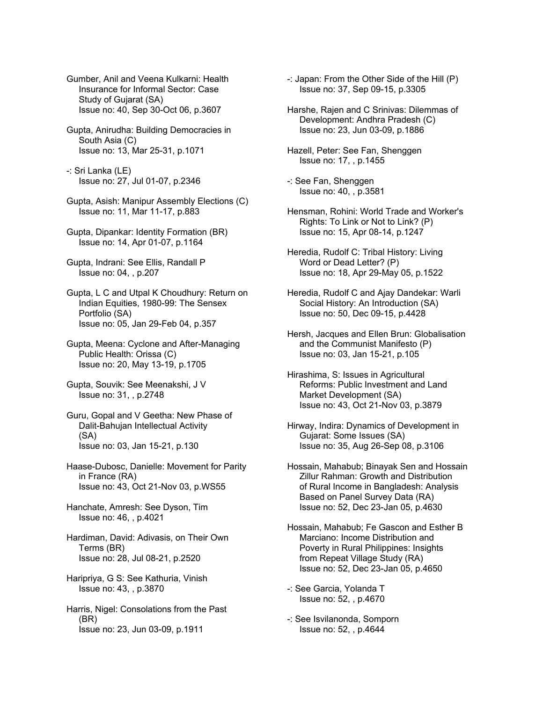Gumber, Anil and Veena Kulkarni: Health Insurance for Informal Sector: Case Study of Gujarat (SA) Issue no: 40, Sep 30-Oct 06, p.3607

- Gupta, Anirudha: Building Democracies in South Asia (C) Issue no: 13, Mar 25-31, p.1071
- -: Sri Lanka (LE) Issue no: 27, Jul 01-07, p.2346
- Gupta, Asish: Manipur Assembly Elections (C) Issue no: 11, Mar 11-17, p.883
- Gupta, Dipankar: Identity Formation (BR) Issue no: 14, Apr 01-07, p.1164
- Gupta, Indrani: See Ellis, Randall P Issue no: 04, , p.207
- Gupta, L C and Utpal K Choudhury: Return on Indian Equities, 1980-99: The Sensex Portfolio (SA) Issue no: 05, Jan 29-Feb 04, p.357
- Gupta, Meena: Cyclone and After-Managing Public Health: Orissa (C) Issue no: 20, May 13-19, p.1705
- Gupta, Souvik: See Meenakshi, J V Issue no: 31, , p.2748
- Guru, Gopal and V Geetha: New Phase of Dalit-Bahujan Intellectual Activity (SA) Issue no: 03, Jan 15-21, p.130
- Haase-Dubosc, Danielle: Movement for Parity in France (RA) Issue no: 43, Oct 21-Nov 03, p.WS55
- Hanchate, Amresh: See Dyson, Tim Issue no: 46, , p.4021
- Hardiman, David: Adivasis, on Their Own Terms (BR) Issue no: 28, Jul 08-21, p.2520
- Haripriya, G S: See Kathuria, Vinish Issue no: 43, , p.3870
- Harris, Nigel: Consolations from the Past (BR) Issue no: 23, Jun 03-09, p.1911
- -: Japan: From the Other Side of the Hill (P) Issue no: 37, Sep 09-15, p.3305
- Harshe, Rajen and C Srinivas: Dilemmas of Development: Andhra Pradesh (C) Issue no: 23, Jun 03-09, p.1886
- Hazell, Peter: See Fan, Shenggen Issue no: 17, , p.1455
- -: See Fan, Shenggen Issue no: 40, , p.3581
- Hensman, Rohini: World Trade and Worker's Rights: To Link or Not to Link? (P) Issue no: 15, Apr 08-14, p.1247
- Heredia, Rudolf C: Tribal History: Living Word or Dead Letter? (P) Issue no: 18, Apr 29-May 05, p.1522
- Heredia, Rudolf C and Ajay Dandekar: Warli Social History: An Introduction (SA) Issue no: 50, Dec 09-15, p.4428
- Hersh, Jacques and Ellen Brun: Globalisation and the Communist Manifesto (P) Issue no: 03, Jan 15-21, p.105
- Hirashima, S: Issues in Agricultural Reforms: Public Investment and Land Market Development (SA) Issue no: 43, Oct 21-Nov 03, p.3879
- Hirway, Indira: Dynamics of Development in Gujarat: Some Issues (SA) Issue no: 35, Aug 26-Sep 08, p.3106
- Hossain, Mahabub; Binayak Sen and Hossain Zillur Rahman: Growth and Distribution of Rural Income in Bangladesh: Analysis Based on Panel Survey Data (RA) Issue no: 52, Dec 23-Jan 05, p.4630
- Hossain, Mahabub; Fe Gascon and Esther B Marciano: Income Distribution and Poverty in Rural Philippines: Insights from Repeat Village Study (RA) Issue no: 52, Dec 23-Jan 05, p.4650
- -: See Garcia, Yolanda T Issue no: 52, , p.4670
- -: See Isvilanonda, Somporn Issue no: 52, , p.4644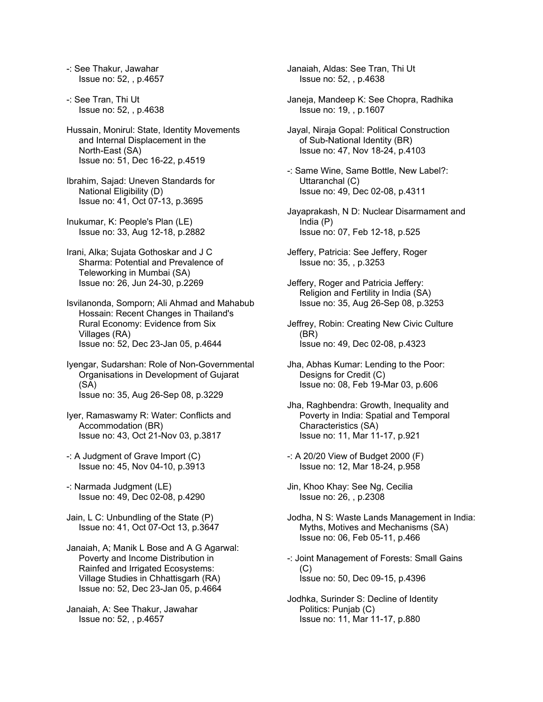-: See Thakur, Jawahar Issue no: 52, , p.4657

-: See Tran, Thi Ut Issue no: 52, , p.4638

Hussain, Monirul: State, Identity Movements and Internal Displacement in the North-East (SA) Issue no: 51, Dec 16-22, p.4519

Ibrahim, Sajad: Uneven Standards for National Eligibility (D) Issue no: 41, Oct 07-13, p.3695

Inukumar, K: People's Plan (LE) Issue no: 33, Aug 12-18, p.2882

Irani, Alka; Sujata Gothoskar and J C Sharma: Potential and Prevalence of Teleworking in Mumbai (SA) Issue no: 26, Jun 24-30, p.2269

Isvilanonda, Somporn; Ali Ahmad and Mahabub Hossain: Recent Changes in Thailand's Rural Economy: Evidence from Six Villages (RA) Issue no: 52, Dec 23-Jan 05, p.4644

Iyengar, Sudarshan: Role of Non-Governmental Organisations in Development of Gujarat (SA) Issue no: 35, Aug 26-Sep 08, p.3229

Iyer, Ramaswamy R: Water: Conflicts and Accommodation (BR) Issue no: 43, Oct 21-Nov 03, p.3817

-: A Judgment of Grave Import (C) Issue no: 45, Nov 04-10, p.3913

-: Narmada Judgment (LE) Issue no: 49, Dec 02-08, p.4290

Jain, L C: Unbundling of the State (P) Issue no: 41, Oct 07-Oct 13, p.3647

Janaiah, A; Manik L Bose and A G Agarwal: Poverty and Income Distribution in Rainfed and Irrigated Ecosystems: Village Studies in Chhattisgarh (RA) Issue no: 52, Dec 23-Jan 05, p.4664

Janaiah, A: See Thakur, Jawahar Issue no: 52, , p.4657

Janaiah, Aldas: See Tran, Thi Ut Issue no: 52, , p.4638

Janeja, Mandeep K: See Chopra, Radhika Issue no: 19, , p.1607

Jayal, Niraja Gopal: Political Construction of Sub-National Identity (BR) Issue no: 47, Nov 18-24, p.4103

-: Same Wine, Same Bottle, New Label?: Uttaranchal (C) Issue no: 49, Dec 02-08, p.4311

Jayaprakash, N D: Nuclear Disarmament and India (P) Issue no: 07, Feb 12-18, p.525

Jeffery, Patricia: See Jeffery, Roger Issue no: 35, , p.3253

Jeffery, Roger and Patricia Jeffery: Religion and Fertility in India (SA) Issue no: 35, Aug 26-Sep 08, p.3253

Jeffrey, Robin: Creating New Civic Culture (BR) Issue no: 49, Dec 02-08, p.4323

Jha, Abhas Kumar: Lending to the Poor: Designs for Credit (C) Issue no: 08, Feb 19-Mar 03, p.606

Jha, Raghbendra: Growth, Inequality and Poverty in India: Spatial and Temporal Characteristics (SA) Issue no: 11, Mar 11-17, p.921

-: A 20/20 View of Budget 2000 (F) Issue no: 12, Mar 18-24, p.958

Jin, Khoo Khay: See Ng, Cecilia Issue no: 26, , p.2308

Jodha, N S: Waste Lands Management in India: Myths, Motives and Mechanisms (SA) Issue no: 06, Feb 05-11, p.466

-: Joint Management of Forests: Small Gains  $(C)$ Issue no: 50, Dec 09-15, p.4396

Jodhka, Surinder S: Decline of Identity Politics: Punjab (C) Issue no: 11, Mar 11-17, p.880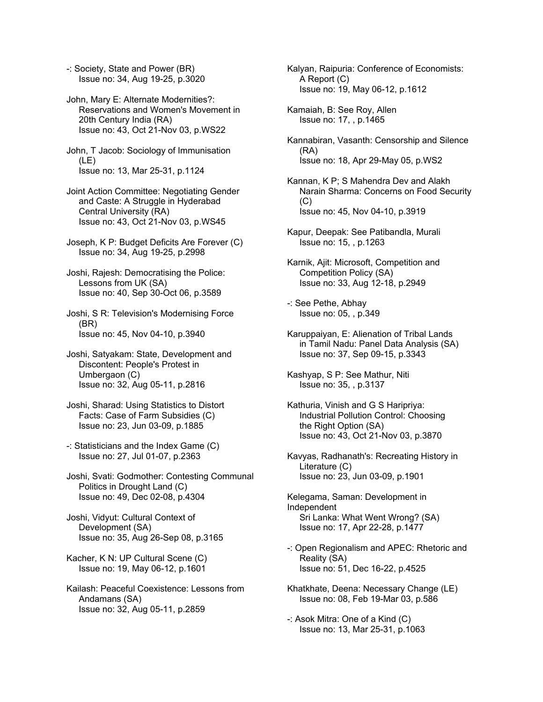-: Society, State and Power (BR) Issue no: 34, Aug 19-25, p.3020

John, Mary E: Alternate Modernities?: Reservations and Women's Movement in 20th Century India (RA) Issue no: 43, Oct 21-Nov 03, p.WS22

John, T Jacob: Sociology of Immunisation (LE) Issue no: 13, Mar 25-31, p.1124

Joint Action Committee: Negotiating Gender and Caste: A Struggle in Hyderabad Central University (RA) Issue no: 43, Oct 21-Nov 03, p.WS45

Joseph, K P: Budget Deficits Are Forever (C) Issue no: 34, Aug 19-25, p.2998

Joshi, Rajesh: Democratising the Police: Lessons from UK (SA) Issue no: 40, Sep 30-Oct 06, p.3589

Joshi, S R: Television's Modernising Force (BR) Issue no: 45, Nov 04-10, p.3940

Joshi, Satyakam: State, Development and Discontent: People's Protest in Umbergaon (C) Issue no: 32, Aug 05-11, p.2816

Joshi, Sharad: Using Statistics to Distort Facts: Case of Farm Subsidies (C) Issue no: 23, Jun 03-09, p.1885

-: Statisticians and the Index Game (C) Issue no: 27, Jul 01-07, p.2363

Joshi, Svati: Godmother: Contesting Communal Politics in Drought Land (C) Issue no: 49, Dec 02-08, p.4304

Joshi, Vidyut: Cultural Context of Development (SA) Issue no: 35, Aug 26-Sep 08, p.3165

Kacher, K N: UP Cultural Scene (C) Issue no: 19, May 06-12, p.1601

Kailash: Peaceful Coexistence: Lessons from Andamans (SA) Issue no: 32, Aug 05-11, p.2859

Kalyan, Raipuria: Conference of Economists: A Report (C) Issue no: 19, May 06-12, p.1612

Kamaiah, B: See Roy, Allen Issue no: 17, , p.1465

Kannabiran, Vasanth: Censorship and Silence (RA) Issue no: 18, Apr 29-May 05, p.WS2

Kannan, K P; S Mahendra Dev and Alakh Narain Sharma: Concerns on Food Security  $(C)$ Issue no: 45, Nov 04-10, p.3919

Kapur, Deepak: See Patibandla, Murali Issue no: 15, , p.1263

Karnik, Ajit: Microsoft, Competition and Competition Policy (SA) Issue no: 33, Aug 12-18, p.2949

-: See Pethe, Abhay Issue no: 05, , p.349

Karuppaiyan, E: Alienation of Tribal Lands in Tamil Nadu: Panel Data Analysis (SA) Issue no: 37, Sep 09-15, p.3343

Kashyap, S P: See Mathur, Niti Issue no: 35, , p.3137

Kathuria, Vinish and G S Haripriya: Industrial Pollution Control: Choosing the Right Option (SA) Issue no: 43, Oct 21-Nov 03, p.3870

Kavyas, Radhanath's: Recreating History in Literature (C) Issue no: 23, Jun 03-09, p.1901

Kelegama, Saman: Development in Independent Sri Lanka: What Went Wrong? (SA) Issue no: 17, Apr 22-28, p.1477

-: Open Regionalism and APEC: Rhetoric and Reality (SA) Issue no: 51, Dec 16-22, p.4525

Khatkhate, Deena: Necessary Change (LE) Issue no: 08, Feb 19-Mar 03, p.586

-: Asok Mitra: One of a Kind (C) Issue no: 13, Mar 25-31, p.1063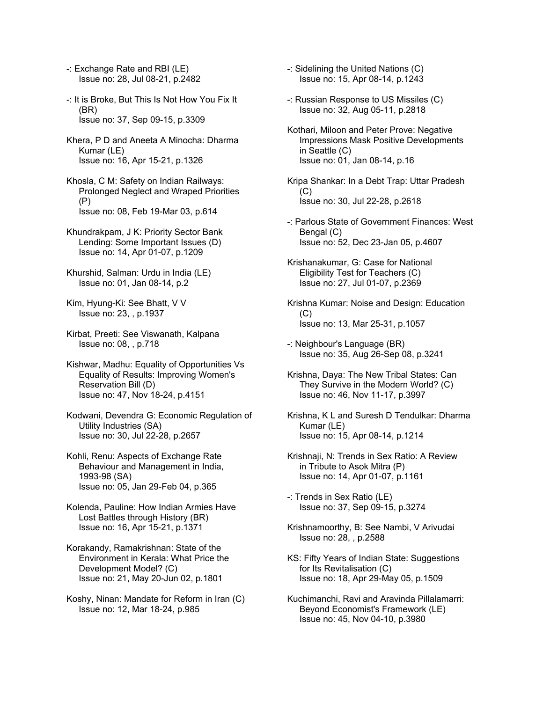- -: Exchange Rate and RBI (LE) Issue no: 28, Jul 08-21, p.2482
- -: It is Broke, But This Is Not How You Fix It (BR) Issue no: 37, Sep 09-15, p.3309
- Khera, P D and Aneeta A Minocha: Dharma Kumar (LE) Issue no: 16, Apr 15-21, p.1326
- Khosla, C M: Safety on Indian Railways: Prolonged Neglect and Wraped Priorities (P) Issue no: 08, Feb 19-Mar 03, p.614
- Khundrakpam, J K: Priority Sector Bank Lending: Some Important Issues (D) Issue no: 14, Apr 01-07, p.1209
- Khurshid, Salman: Urdu in India (LE) Issue no: 01, Jan 08-14, p.2
- Kim, Hyung-Ki: See Bhatt, V V Issue no: 23, , p.1937
- Kirbat, Preeti: See Viswanath, Kalpana Issue no: 08, , p.718
- Kishwar, Madhu: Equality of Opportunities Vs Equality of Results: Improving Women's Reservation Bill (D) Issue no: 47, Nov 18-24, p.4151
- Kodwani, Devendra G: Economic Regulation of Utility Industries (SA) Issue no: 30, Jul 22-28, p.2657
- Kohli, Renu: Aspects of Exchange Rate Behaviour and Management in India, 1993-98 (SA) Issue no: 05, Jan 29-Feb 04, p.365
- Kolenda, Pauline: How Indian Armies Have Lost Battles through History (BR) Issue no: 16, Apr 15-21, p.1371
- Korakandy, Ramakrishnan: State of the Environment in Kerala: What Price the Development Model? (C) Issue no: 21, May 20-Jun 02, p.1801
- Koshy, Ninan: Mandate for Reform in Iran (C) Issue no: 12, Mar 18-24, p.985
- -: Sidelining the United Nations (C) Issue no: 15, Apr 08-14, p.1243
- -: Russian Response to US Missiles (C) Issue no: 32, Aug 05-11, p.2818
- Kothari, Miloon and Peter Prove: Negative Impressions Mask Positive Developments in Seattle (C) Issue no: 01, Jan 08-14, p.16
- Kripa Shankar: In a Debt Trap: Uttar Pradesh  $(C)$ Issue no: 30, Jul 22-28, p.2618
- -: Parlous State of Government Finances: West Bengal (C) Issue no: 52, Dec 23-Jan 05, p.4607
- Krishanakumar, G: Case for National Eligibility Test for Teachers (C) Issue no: 27, Jul 01-07, p.2369
- Krishna Kumar: Noise and Design: Education  $(C)$ Issue no: 13, Mar 25-31, p.1057
- -: Neighbour's Language (BR) Issue no: 35, Aug 26-Sep 08, p.3241
- Krishna, Daya: The New Tribal States: Can They Survive in the Modern World? (C) Issue no: 46, Nov 11-17, p.3997
- Krishna, K L and Suresh D Tendulkar: Dharma Kumar (LE) Issue no: 15, Apr 08-14, p.1214
- Krishnaji, N: Trends in Sex Ratio: A Review in Tribute to Asok Mitra (P) Issue no: 14, Apr 01-07, p.1161
- -: Trends in Sex Ratio (LE) Issue no: 37, Sep 09-15, p.3274
- Krishnamoorthy, B: See Nambi, V Arivudai Issue no: 28, , p.2588
- KS: Fifty Years of Indian State: Suggestions for Its Revitalisation (C) Issue no: 18, Apr 29-May 05, p.1509
- Kuchimanchi, Ravi and Aravinda Pillalamarri: Beyond Economist's Framework (LE) Issue no: 45, Nov 04-10, p.3980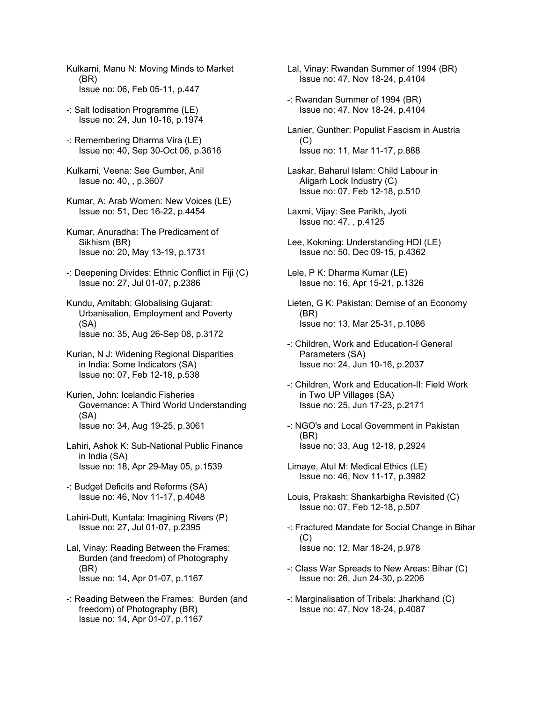- Kulkarni, Manu N: Moving Minds to Market (BR) Issue no: 06, Feb 05-11, p.447
- -: Salt Iodisation Programme (LE) Issue no: 24, Jun 10-16, p.1974
- -: Remembering Dharma Vira (LE) Issue no: 40, Sep 30-Oct 06, p.3616
- Kulkarni, Veena: See Gumber, Anil Issue no: 40, , p.3607
- Kumar, A: Arab Women: New Voices (LE) Issue no: 51, Dec 16-22, p.4454
- Kumar, Anuradha: The Predicament of Sikhism (BR) Issue no: 20, May 13-19, p.1731
- -: Deepening Divides: Ethnic Conflict in Fiji (C) Issue no: 27, Jul 01-07, p.2386
- Kundu, Amitabh: Globalising Gujarat: Urbanisation, Employment and Poverty (SA) Issue no: 35, Aug 26-Sep 08, p.3172
- Kurian, N J: Widening Regional Disparities in India: Some Indicators (SA) Issue no: 07, Feb 12-18, p.538
- Kurien, John: Icelandic Fisheries Governance: A Third World Understanding (SA) Issue no: 34, Aug 19-25, p.3061
- Lahiri, Ashok K: Sub-National Public Finance in India (SA) Issue no: 18, Apr 29-May 05, p.1539
- -: Budget Deficits and Reforms (SA) Issue no: 46, Nov 11-17, p.4048
- Lahiri-Dutt, Kuntala: Imagining Rivers (P) Issue no: 27, Jul 01-07, p.2395
- Lal, Vinay: Reading Between the Frames: Burden (and freedom) of Photography (BR) Issue no: 14, Apr 01-07, p.1167
- -: Reading Between the Frames: Burden (and freedom) of Photography (BR) Issue no: 14, Apr 01-07, p.1167
- Lal, Vinay: Rwandan Summer of 1994 (BR) Issue no: 47, Nov 18-24, p.4104
- -: Rwandan Summer of 1994 (BR) Issue no: 47, Nov 18-24, p.4104
- Lanier, Gunther: Populist Fascism in Austria  $(C)$ Issue no: 11, Mar 11-17, p.888
- Laskar, Baharul Islam: Child Labour in Aligarh Lock Industry (C) Issue no: 07, Feb 12-18, p.510
- Laxmi, Vijay: See Parikh, Jyoti Issue no: 47, , p.4125
- Lee, Kokming: Understanding HDI (LE) Issue no: 50, Dec 09-15, p.4362
- Lele, P K: Dharma Kumar (LE) Issue no: 16, Apr 15-21, p.1326
- Lieten, G K: Pakistan: Demise of an Economy (BR) Issue no: 13, Mar 25-31, p.1086
- -: Children, Work and Education-I General Parameters (SA) Issue no: 24, Jun 10-16, p.2037
- -: Children, Work and Education-II: Field Work in Two UP Villages (SA) Issue no: 25, Jun 17-23, p.2171
- -: NGO's and Local Government in Pakistan (BR) Issue no: 33, Aug 12-18, p.2924
- Limaye, Atul M: Medical Ethics (LE) Issue no: 46, Nov 11-17, p.3982
- Louis, Prakash: Shankarbigha Revisited (C) Issue no: 07, Feb 12-18, p.507
- -: Fractured Mandate for Social Change in Bihar (C) Issue no: 12, Mar 18-24, p.978
- -: Class War Spreads to New Areas: Bihar (C) Issue no: 26, Jun 24-30, p.2206
- -: Marginalisation of Tribals: Jharkhand (C) Issue no: 47, Nov 18-24, p.4087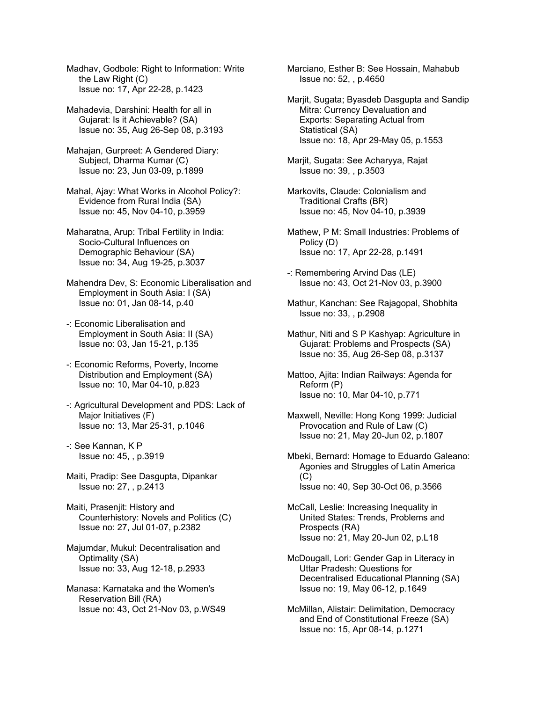Madhav, Godbole: Right to Information: Write the Law Right (C) Issue no: 17, Apr 22-28, p.1423

Mahadevia, Darshini: Health for all in Gujarat: Is it Achievable? (SA) Issue no: 35, Aug 26-Sep 08, p.3193

- Mahajan, Gurpreet: A Gendered Diary: Subject, Dharma Kumar (C) Issue no: 23, Jun 03-09, p.1899
- Mahal, Ajay: What Works in Alcohol Policy?: Evidence from Rural India (SA) Issue no: 45, Nov 04-10, p.3959
- Maharatna, Arup: Tribal Fertility in India: Socio-Cultural Influences on Demographic Behaviour (SA) Issue no: 34, Aug 19-25, p.3037
- Mahendra Dev, S: Economic Liberalisation and Employment in South Asia: I (SA) Issue no: 01, Jan 08-14, p.40
- -: Economic Liberalisation and Employment in South Asia: II (SA) Issue no: 03, Jan 15-21, p.135
- -: Economic Reforms, Poverty, Income Distribution and Employment (SA) Issue no: 10, Mar 04-10, p.823
- -: Agricultural Development and PDS: Lack of Major Initiatives (F) Issue no: 13, Mar 25-31, p.1046
- -: See Kannan, K P Issue no: 45, , p.3919
- Maiti, Pradip: See Dasgupta, Dipankar Issue no: 27, , p.2413
- Maiti, Prasenjit: History and Counterhistory: Novels and Politics (C) Issue no: 27, Jul 01-07, p.2382
- Majumdar, Mukul: Decentralisation and Optimality (SA) Issue no: 33, Aug 12-18, p.2933
- Manasa: Karnataka and the Women's Reservation Bill (RA) Issue no: 43, Oct 21-Nov 03, p.WS49

Marciano, Esther B: See Hossain, Mahabub Issue no: 52, , p.4650

- Marjit, Sugata; Byasdeb Dasgupta and Sandip Mitra: Currency Devaluation and Exports: Separating Actual from Statistical (SA) Issue no: 18, Apr 29-May 05, p.1553
- Marjit, Sugata: See Acharyya, Rajat Issue no: 39, , p.3503
- Markovits, Claude: Colonialism and Traditional Crafts (BR) Issue no: 45, Nov 04-10, p.3939
- Mathew, P M: Small Industries: Problems of Policy (D) Issue no: 17, Apr 22-28, p.1491
- -: Remembering Arvind Das (LE) Issue no: 43, Oct 21-Nov 03, p.3900
- Mathur, Kanchan: See Rajagopal, Shobhita Issue no: 33, , p.2908
- Mathur, Niti and S P Kashyap: Agriculture in Gujarat: Problems and Prospects (SA) Issue no: 35, Aug 26-Sep 08, p.3137
- Mattoo, Ajita: Indian Railways: Agenda for Reform (P) Issue no: 10, Mar 04-10, p.771
- Maxwell, Neville: Hong Kong 1999: Judicial Provocation and Rule of Law (C) Issue no: 21, May 20-Jun 02, p.1807
- Mbeki, Bernard: Homage to Eduardo Galeano: Agonies and Struggles of Latin America (C) Issue no: 40, Sep 30-Oct 06, p.3566
- McCall, Leslie: Increasing Inequality in United States: Trends, Problems and Prospects (RA) Issue no: 21, May 20-Jun 02, p.L18
- McDougall, Lori: Gender Gap in Literacy in Uttar Pradesh: Questions for Decentralised Educational Planning (SA) Issue no: 19, May 06-12, p.1649
- McMillan, Alistair: Delimitation, Democracy and End of Constitutional Freeze (SA) Issue no: 15, Apr 08-14, p.1271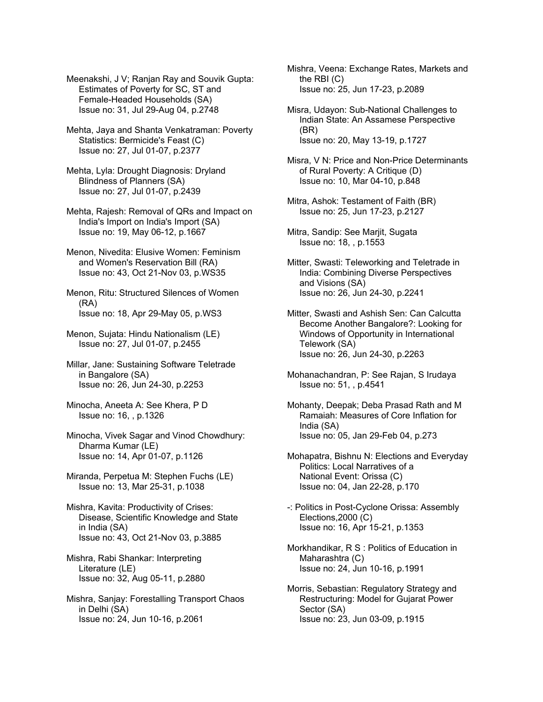Meenakshi, J V; Ranjan Ray and Souvik Gupta: Estimates of Poverty for SC, ST and Female-Headed Households (SA) Issue no: 31, Jul 29-Aug 04, p.2748

Mehta, Jaya and Shanta Venkatraman: Poverty Statistics: Bermicide's Feast (C) Issue no: 27, Jul 01-07, p.2377

Mehta, Lyla: Drought Diagnosis: Dryland Blindness of Planners (SA) Issue no: 27, Jul 01-07, p.2439

Mehta, Rajesh: Removal of QRs and Impact on India's Import on India's Import (SA) Issue no: 19, May 06-12, p.1667

Menon, Nivedita: Elusive Women: Feminism and Women's Reservation Bill (RA) Issue no: 43, Oct 21-Nov 03, p.WS35

Menon, Ritu: Structured Silences of Women (RA) Issue no: 18, Apr 29-May 05, p.WS3

Menon, Sujata: Hindu Nationalism (LE) Issue no: 27, Jul 01-07, p.2455

Millar, Jane: Sustaining Software Teletrade in Bangalore (SA) Issue no: 26, Jun 24-30, p.2253

Minocha, Aneeta A: See Khera, P D Issue no: 16, , p.1326

Minocha, Vivek Sagar and Vinod Chowdhury: Dharma Kumar (LE) Issue no: 14, Apr 01-07, p.1126

Miranda, Perpetua M: Stephen Fuchs (LE) Issue no: 13, Mar 25-31, p.1038

Mishra, Kavita: Productivity of Crises: Disease, Scientific Knowledge and State in India (SA) Issue no: 43, Oct 21-Nov 03, p.3885

Mishra, Rabi Shankar: Interpreting Literature (LE) Issue no: 32, Aug 05-11, p.2880

Mishra, Sanjay: Forestalling Transport Chaos in Delhi (SA) Issue no: 24, Jun 10-16, p.2061

Mishra, Veena: Exchange Rates, Markets and the RBI (C) Issue no: 25, Jun 17-23, p.2089

Misra, Udayon: Sub-National Challenges to Indian State: An Assamese Perspective (BR) Issue no: 20, May 13-19, p.1727

Misra, V N: Price and Non-Price Determinants of Rural Poverty: A Critique (D) Issue no: 10, Mar 04-10, p.848

Mitra, Ashok: Testament of Faith (BR) Issue no: 25, Jun 17-23, p.2127

Mitra, Sandip: See Marjit, Sugata Issue no: 18, , p.1553

Mitter, Swasti: Teleworking and Teletrade in India: Combining Diverse Perspectives and Visions (SA) Issue no: 26, Jun 24-30, p.2241

Mitter, Swasti and Ashish Sen: Can Calcutta Become Another Bangalore?: Looking for Windows of Opportunity in International Telework (SA) Issue no: 26, Jun 24-30, p.2263

Mohanachandran, P: See Rajan, S Irudaya Issue no: 51, , p.4541

Mohanty, Deepak; Deba Prasad Rath and M Ramaiah: Measures of Core Inflation for India (SA) Issue no: 05, Jan 29-Feb 04, p.273

Mohapatra, Bishnu N: Elections and Everyday Politics: Local Narratives of a National Event: Orissa (C) Issue no: 04, Jan 22-28, p.170

-: Politics in Post-Cyclone Orissa: Assembly Elections,2000 (C) Issue no: 16, Apr 15-21, p.1353

Morkhandikar, R S : Politics of Education in Maharashtra (C) Issue no: 24, Jun 10-16, p.1991

Morris, Sebastian: Regulatory Strategy and Restructuring: Model for Gujarat Power Sector (SA) Issue no: 23, Jun 03-09, p.1915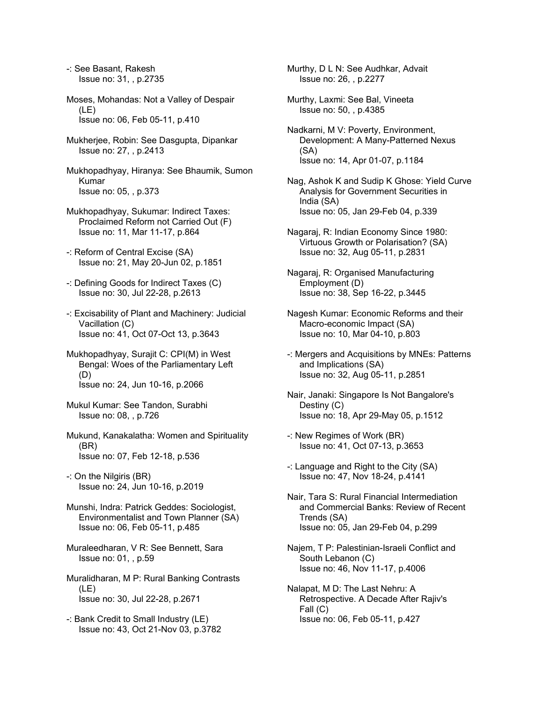-: See Basant, Rakesh Issue no: 31, , p.2735

- Moses, Mohandas: Not a Valley of Despair (LE) Issue no: 06, Feb 05-11, p.410
- Mukherjee, Robin: See Dasgupta, Dipankar Issue no: 27, , p.2413
- Mukhopadhyay, Hiranya: See Bhaumik, Sumon Kumar Issue no: 05, , p.373
- Mukhopadhyay, Sukumar: Indirect Taxes: Proclaimed Reform not Carried Out (F) Issue no: 11, Mar 11-17, p.864
- -: Reform of Central Excise (SA) Issue no: 21, May 20-Jun 02, p.1851
- -: Defining Goods for Indirect Taxes (C) Issue no: 30, Jul 22-28, p.2613
- -: Excisability of Plant and Machinery: Judicial Vacillation (C) Issue no: 41, Oct 07-Oct 13, p.3643
- Mukhopadhyay, Surajit C: CPI(M) in West Bengal: Woes of the Parliamentary Left (D) Issue no: 24, Jun 10-16, p.2066
- Mukul Kumar: See Tandon, Surabhi Issue no: 08, , p.726
- Mukund, Kanakalatha: Women and Spirituality (BR) Issue no: 07, Feb 12-18, p.536
- -: On the Nilgiris (BR) Issue no: 24, Jun 10-16, p.2019
- Munshi, Indra: Patrick Geddes: Sociologist, Environmentalist and Town Planner (SA) Issue no: 06, Feb 05-11, p.485
- Muraleedharan, V R: See Bennett, Sara Issue no: 01, , p.59
- Muralidharan, M P: Rural Banking Contrasts (LE) Issue no: 30, Jul 22-28, p.2671
- -: Bank Credit to Small Industry (LE) Issue no: 43, Oct 21-Nov 03, p.3782
- Murthy, D L N: See Audhkar, Advait Issue no: 26, , p.2277
- Murthy, Laxmi: See Bal, Vineeta Issue no: 50, , p.4385
- Nadkarni, M V: Poverty, Environment, Development: A Many-Patterned Nexus (SA) Issue no: 14, Apr 01-07, p.1184
- Nag, Ashok K and Sudip K Ghose: Yield Curve Analysis for Government Securities in India (SA) Issue no: 05, Jan 29-Feb 04, p.339
- Nagaraj, R: Indian Economy Since 1980: Virtuous Growth or Polarisation? (SA) Issue no: 32, Aug 05-11, p.2831
- Nagaraj, R: Organised Manufacturing Employment (D) Issue no: 38, Sep 16-22, p.3445
- Nagesh Kumar: Economic Reforms and their Macro-economic Impact (SA) Issue no: 10, Mar 04-10, p.803
- -: Mergers and Acquisitions by MNEs: Patterns and Implications (SA) Issue no: 32, Aug 05-11, p.2851
- Nair, Janaki: Singapore Is Not Bangalore's Destiny (C) Issue no: 18, Apr 29-May 05, p.1512
- -: New Regimes of Work (BR) Issue no: 41, Oct 07-13, p.3653
- -: Language and Right to the City (SA) Issue no: 47, Nov 18-24, p.4141
- Nair, Tara S: Rural Financial Intermediation and Commercial Banks: Review of Recent Trends (SA) Issue no: 05, Jan 29-Feb 04, p.299
- Najem, T P: Palestinian-Israeli Conflict and South Lebanon (C) Issue no: 46, Nov 11-17, p.4006
- Nalapat, M D: The Last Nehru: A Retrospective. A Decade After Rajiv's Fall (C) Issue no: 06, Feb 05-11, p.427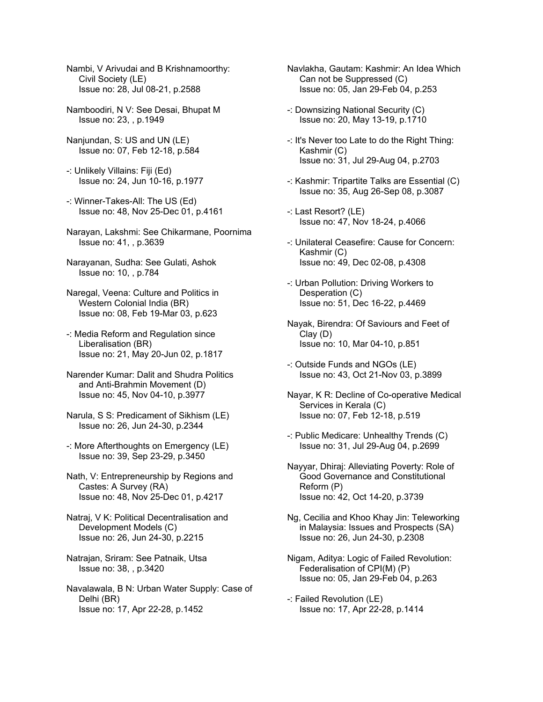- Nambi, V Arivudai and B Krishnamoorthy: Civil Society (LE) Issue no: 28, Jul 08-21, p.2588
- Namboodiri, N V: See Desai, Bhupat M Issue no: 23, , p.1949
- Nanjundan, S: US and UN (LE) Issue no: 07, Feb 12-18, p.584
- -: Unlikely Villains: Fiji (Ed) Issue no: 24, Jun 10-16, p.1977
- -: Winner-Takes-All: The US (Ed) Issue no: 48, Nov 25-Dec 01, p.4161
- Narayan, Lakshmi: See Chikarmane, Poornima Issue no: 41, , p.3639
- Narayanan, Sudha: See Gulati, Ashok Issue no: 10, , p.784
- Naregal, Veena: Culture and Politics in Western Colonial India (BR) Issue no: 08, Feb 19-Mar 03, p.623
- -: Media Reform and Regulation since Liberalisation (BR) Issue no: 21, May 20-Jun 02, p.1817
- Narender Kumar: Dalit and Shudra Politics and Anti-Brahmin Movement (D) Issue no: 45, Nov 04-10, p.3977
- Narula, S S: Predicament of Sikhism (LE) Issue no: 26, Jun 24-30, p.2344
- -: More Afterthoughts on Emergency (LE) Issue no: 39, Sep 23-29, p.3450
- Nath, V: Entrepreneurship by Regions and Castes: A Survey (RA) Issue no: 48, Nov 25-Dec 01, p.4217
- Natraj, V K: Political Decentralisation and Development Models (C) Issue no: 26, Jun 24-30, p.2215
- Natrajan, Sriram: See Patnaik, Utsa Issue no: 38, , p.3420
- Navalawala, B N: Urban Water Supply: Case of Delhi (BR) Issue no: 17, Apr 22-28, p.1452
- Navlakha, Gautam: Kashmir: An Idea Which Can not be Suppressed (C) Issue no: 05, Jan 29-Feb 04, p.253
- -: Downsizing National Security (C) Issue no: 20, May 13-19, p.1710
- -: It's Never too Late to do the Right Thing: Kashmir (C) Issue no: 31, Jul 29-Aug 04, p.2703
- -: Kashmir: Tripartite Talks are Essential (C) Issue no: 35, Aug 26-Sep 08, p.3087
- -: Last Resort? (LE) Issue no: 47, Nov 18-24, p.4066
- -: Unilateral Ceasefire: Cause for Concern: Kashmir (C) Issue no: 49, Dec 02-08, p.4308
- -: Urban Pollution: Driving Workers to Desperation (C) Issue no: 51, Dec 16-22, p.4469
- Nayak, Birendra: Of Saviours and Feet of Clay (D) Issue no: 10, Mar 04-10, p.851
- -: Outside Funds and NGOs (LE) Issue no: 43, Oct 21-Nov 03, p.3899
- Nayar, K R: Decline of Co-operative Medical Services in Kerala (C) Issue no: 07, Feb 12-18, p.519
- -: Public Medicare: Unhealthy Trends (C) Issue no: 31, Jul 29-Aug 04, p.2699
- Nayyar, Dhiraj: Alleviating Poverty: Role of Good Governance and Constitutional Reform (P) Issue no: 42, Oct 14-20, p.3739
- Ng, Cecilia and Khoo Khay Jin: Teleworking in Malaysia: Issues and Prospects (SA) Issue no: 26, Jun 24-30, p.2308
- Nigam, Aditya: Logic of Failed Revolution: Federalisation of CPI(M) (P) Issue no: 05, Jan 29-Feb 04, p.263
- -: Failed Revolution (LE) Issue no: 17, Apr 22-28, p.1414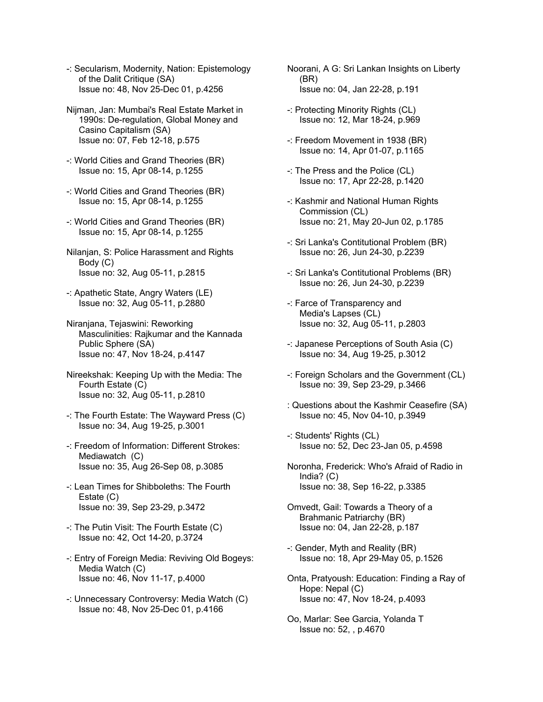- -: Secularism, Modernity, Nation: Epistemology of the Dalit Critique (SA) Issue no: 48, Nov 25-Dec 01, p.4256
- Nijman, Jan: Mumbai's Real Estate Market in 1990s: De-regulation, Global Money and Casino Capitalism (SA) Issue no: 07, Feb 12-18, p.575
- -: World Cities and Grand Theories (BR) Issue no: 15, Apr 08-14, p.1255
- -: World Cities and Grand Theories (BR) Issue no: 15, Apr 08-14, p.1255
- -: World Cities and Grand Theories (BR) Issue no: 15, Apr 08-14, p.1255
- Nilanjan, S: Police Harassment and Rights Body (C) Issue no: 32, Aug 05-11, p.2815
- -: Apathetic State, Angry Waters (LE) Issue no: 32, Aug 05-11, p.2880
- Niranjana, Tejaswini: Reworking Masculinities: Rajkumar and the Kannada Public Sphere (SA) Issue no: 47, Nov 18-24, p.4147
- Nireekshak: Keeping Up with the Media: The Fourth Estate (C) Issue no: 32, Aug 05-11, p.2810
- -: The Fourth Estate: The Wayward Press (C) Issue no: 34, Aug 19-25, p.3001
- -: Freedom of Information: Different Strokes: Mediawatch (C) Issue no: 35, Aug 26-Sep 08, p.3085
- -: Lean Times for Shibboleths: The Fourth Estate (C) Issue no: 39, Sep 23-29, p.3472
- -: The Putin Visit: The Fourth Estate (C) Issue no: 42, Oct 14-20, p.3724
- -: Entry of Foreign Media: Reviving Old Bogeys: Media Watch (C) Issue no: 46, Nov 11-17, p.4000
- -: Unnecessary Controversy: Media Watch (C) Issue no: 48, Nov 25-Dec 01, p.4166
- Noorani, A G: Sri Lankan Insights on Liberty (BR) Issue no: 04, Jan 22-28, p.191
- -: Protecting Minority Rights (CL) Issue no: 12, Mar 18-24, p.969
- -: Freedom Movement in 1938 (BR) Issue no: 14, Apr 01-07, p.1165
- -: The Press and the Police (CL) Issue no: 17, Apr 22-28, p.1420
- -: Kashmir and National Human Rights Commission (CL) Issue no: 21, May 20-Jun 02, p.1785
- -: Sri Lanka's Contitutional Problem (BR) Issue no: 26, Jun 24-30, p.2239
- -: Sri Lanka's Contitutional Problems (BR) Issue no: 26, Jun 24-30, p.2239
- -: Farce of Transparency and Media's Lapses (CL) Issue no: 32, Aug 05-11, p.2803
- -: Japanese Perceptions of South Asia (C) Issue no: 34, Aug 19-25, p.3012
- -: Foreign Scholars and the Government (CL) Issue no: 39, Sep 23-29, p.3466
- : Questions about the Kashmir Ceasefire (SA) Issue no: 45, Nov 04-10, p.3949
- -: Students' Rights (CL) Issue no: 52, Dec 23-Jan 05, p.4598
- Noronha, Frederick: Who's Afraid of Radio in India? (C) Issue no: 38, Sep 16-22, p.3385
- Omvedt, Gail: Towards a Theory of a Brahmanic Patriarchy (BR) Issue no: 04, Jan 22-28, p.187
- -: Gender, Myth and Reality (BR) Issue no: 18, Apr 29-May 05, p.1526
- Onta, Pratyoush: Education: Finding a Ray of Hope: Nepal (C) Issue no: 47, Nov 18-24, p.4093
- Oo, Marlar: See Garcia, Yolanda T Issue no: 52, , p.4670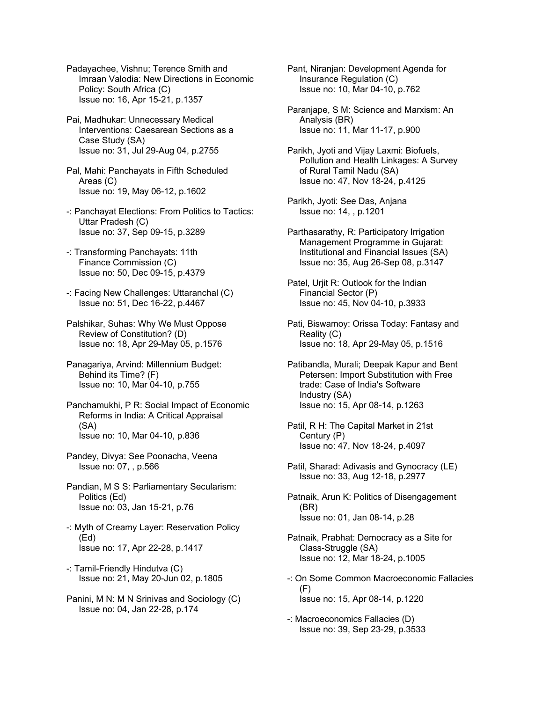Padayachee, Vishnu; Terence Smith and Imraan Valodia: New Directions in Economic Policy: South Africa (C) Issue no: 16, Apr 15-21, p.1357

- Pai, Madhukar: Unnecessary Medical Interventions: Caesarean Sections as a Case Study (SA) Issue no: 31, Jul 29-Aug 04, p.2755
- Pal, Mahi: Panchayats in Fifth Scheduled Areas (C) Issue no: 19, May 06-12, p.1602
- -: Panchayat Elections: From Politics to Tactics: Uttar Pradesh (C) Issue no: 37, Sep 09-15, p.3289
- -: Transforming Panchayats: 11th Finance Commission (C) Issue no: 50, Dec 09-15, p.4379
- -: Facing New Challenges: Uttaranchal (C) Issue no: 51, Dec 16-22, p.4467
- Palshikar, Suhas: Why We Must Oppose Review of Constitution? (D) Issue no: 18, Apr 29-May 05, p.1576
- Panagariya, Arvind: Millennium Budget: Behind its Time? (F) Issue no: 10, Mar 04-10, p.755
- Panchamukhi, P R: Social Impact of Economic Reforms in India: A Critical Appraisal (SA) Issue no: 10, Mar 04-10, p.836
- Pandey, Divya: See Poonacha, Veena Issue no: 07, , p.566
- Pandian, M S S: Parliamentary Secularism: Politics (Ed) Issue no: 03, Jan 15-21, p.76
- -: Myth of Creamy Layer: Reservation Policy (Ed) Issue no: 17, Apr 22-28, p.1417
- -: Tamil-Friendly Hindutva (C) Issue no: 21, May 20-Jun 02, p.1805
- Panini, M N: M N Srinivas and Sociology (C) Issue no: 04, Jan 22-28, p.174

Pant, Niranjan: Development Agenda for Insurance Regulation (C) Issue no: 10, Mar 04-10, p.762

- Paranjape, S M: Science and Marxism: An Analysis (BR) Issue no: 11, Mar 11-17, p.900
- Parikh, Jyoti and Vijay Laxmi: Biofuels, Pollution and Health Linkages: A Survey of Rural Tamil Nadu (SA) Issue no: 47, Nov 18-24, p.4125
- Parikh, Jyoti: See Das, Anjana Issue no: 14, , p.1201
- Parthasarathy, R: Participatory Irrigation Management Programme in Gujarat: Institutional and Financial Issues (SA) Issue no: 35, Aug 26-Sep 08, p.3147
- Patel, Urjit R: Outlook for the Indian Financial Sector (P) Issue no: 45, Nov 04-10, p.3933
- Pati, Biswamoy: Orissa Today: Fantasy and Reality (C) Issue no: 18, Apr 29-May 05, p.1516
- Patibandla, Murali; Deepak Kapur and Bent Petersen: Import Substitution with Free trade: Case of India's Software Industry (SA) Issue no: 15, Apr 08-14, p.1263
- Patil, R H: The Capital Market in 21st Century (P) Issue no: 47, Nov 18-24, p.4097
- Patil, Sharad: Adivasis and Gynocracy (LE) Issue no: 33, Aug 12-18, p.2977
- Patnaik, Arun K: Politics of Disengagement (BR) Issue no: 01, Jan 08-14, p.28
- Patnaik, Prabhat: Democracy as a Site for Class-Struggle (SA) Issue no: 12, Mar 18-24, p.1005
- -: On Some Common Macroeconomic Fallacies (F) Issue no: 15, Apr 08-14, p.1220
- -: Macroeconomics Fallacies (D) Issue no: 39, Sep 23-29, p.3533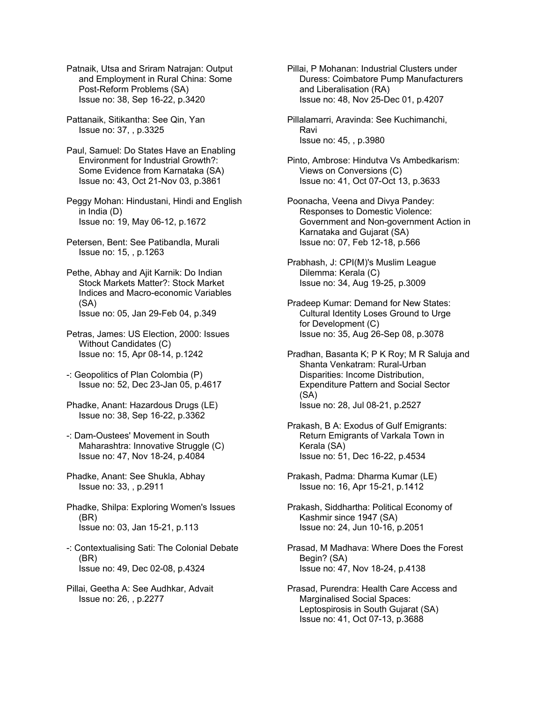Patnaik, Utsa and Sriram Natrajan: Output and Employment in Rural China: Some Post-Reform Problems (SA) Issue no: 38, Sep 16-22, p.3420

Pattanaik, Sitikantha: See Qin, Yan Issue no: 37, , p.3325

Paul, Samuel: Do States Have an Enabling Environment for Industrial Growth?: Some Evidence from Karnataka (SA) Issue no: 43, Oct 21-Nov 03, p.3861

Peggy Mohan: Hindustani, Hindi and English in India (D) Issue no: 19, May 06-12, p.1672

Petersen, Bent: See Patibandla, Murali Issue no: 15, , p.1263

Pethe, Abhay and Ajit Karnik: Do Indian Stock Markets Matter?: Stock Market Indices and Macro-economic Variables (SA) Issue no: 05, Jan 29-Feb 04, p.349

Petras, James: US Election, 2000: Issues Without Candidates (C) Issue no: 15, Apr 08-14, p.1242

-: Geopolitics of Plan Colombia (P) Issue no: 52, Dec 23-Jan 05, p.4617

Phadke, Anant: Hazardous Drugs (LE) Issue no: 38, Sep 16-22, p.3362

-: Dam-Oustees' Movement in South Maharashtra: Innovative Struggle (C) Issue no: 47, Nov 18-24, p.4084

Phadke, Anant: See Shukla, Abhay Issue no: 33, , p.2911

Phadke, Shilpa: Exploring Women's Issues (BR) Issue no: 03, Jan 15-21, p.113

-: Contextualising Sati: The Colonial Debate (BR) Issue no: 49, Dec 02-08, p.4324

Pillai, Geetha A: See Audhkar, Advait Issue no: 26, , p.2277

Pillai, P Mohanan: Industrial Clusters under Duress: Coimbatore Pump Manufacturers and Liberalisation (RA) Issue no: 48, Nov 25-Dec 01, p.4207

Pillalamarri, Aravinda: See Kuchimanchi, Ravi Issue no: 45, , p.3980

Pinto, Ambrose: Hindutva Vs Ambedkarism: Views on Conversions (C) Issue no: 41, Oct 07-Oct 13, p.3633

Poonacha, Veena and Divya Pandey: Responses to Domestic Violence: Government and Non-government Action in Karnataka and Gujarat (SA) Issue no: 07, Feb 12-18, p.566

Prabhash, J: CPI(M)'s Muslim League Dilemma: Kerala (C) Issue no: 34, Aug 19-25, p.3009

Pradeep Kumar: Demand for New States: Cultural Identity Loses Ground to Urge for Development (C) Issue no: 35, Aug 26-Sep 08, p.3078

Pradhan, Basanta K; P K Roy; M R Saluja and Shanta Venkatram: Rural-Urban Disparities: Income Distribution, Expenditure Pattern and Social Sector (SA) Issue no: 28, Jul 08-21, p.2527

Prakash, B A: Exodus of Gulf Emigrants: Return Emigrants of Varkala Town in Kerala (SA) Issue no: 51, Dec 16-22, p.4534

Prakash, Padma: Dharma Kumar (LE) Issue no: 16, Apr 15-21, p.1412

Prakash, Siddhartha: Political Economy of Kashmir since 1947 (SA) Issue no: 24, Jun 10-16, p.2051

Prasad, M Madhava: Where Does the Forest Begin? (SA) Issue no: 47, Nov 18-24, p.4138

Prasad, Purendra: Health Care Access and Marginalised Social Spaces: Leptospirosis in South Gujarat (SA) Issue no: 41, Oct 07-13, p.3688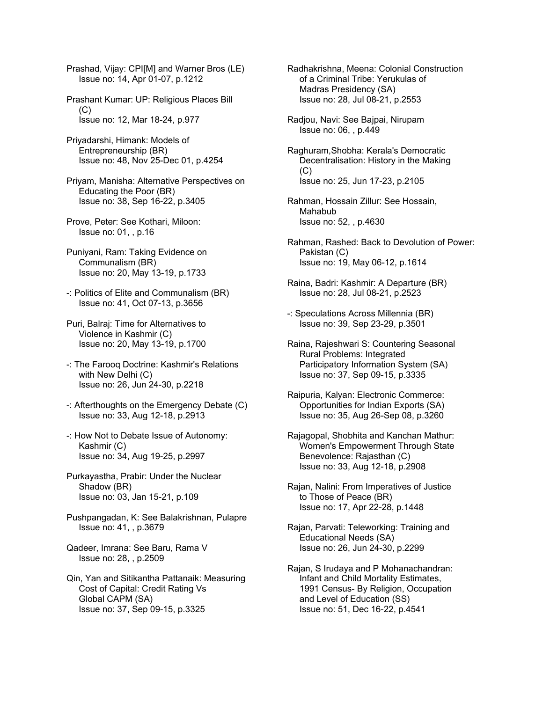Prashad, Vijay: CPI[M] and Warner Bros (LE) Issue no: 14, Apr 01-07, p.1212

Prashant Kumar: UP: Religious Places Bill  $(C)$ Issue no: 12, Mar 18-24, p.977

Priyadarshi, Himank: Models of Entrepreneurship (BR) Issue no: 48, Nov 25-Dec 01, p.4254

Priyam, Manisha: Alternative Perspectives on Educating the Poor (BR) Issue no: 38, Sep 16-22, p.3405

- Prove, Peter: See Kothari, Miloon: Issue no: 01, , p.16
- Puniyani, Ram: Taking Evidence on Communalism (BR) Issue no: 20, May 13-19, p.1733
- -: Politics of Elite and Communalism (BR) Issue no: 41, Oct 07-13, p.3656
- Puri, Balraj: Time for Alternatives to Violence in Kashmir (C) Issue no: 20, May 13-19, p.1700
- -: The Farooq Doctrine: Kashmir's Relations with New Delhi (C) Issue no: 26, Jun 24-30, p.2218
- -: Afterthoughts on the Emergency Debate (C) Issue no: 33, Aug 12-18, p.2913
- -: How Not to Debate Issue of Autonomy: Kashmir (C) Issue no: 34, Aug 19-25, p.2997
- Purkayastha, Prabir: Under the Nuclear Shadow (BR) Issue no: 03, Jan 15-21, p.109
- Pushpangadan, K: See Balakrishnan, Pulapre Issue no: 41, , p.3679
- Qadeer, Imrana: See Baru, Rama V Issue no: 28, , p.2509

Qin, Yan and Sitikantha Pattanaik: Measuring Cost of Capital: Credit Rating Vs Global CAPM (SA) Issue no: 37, Sep 09-15, p.3325

Radhakrishna, Meena: Colonial Construction of a Criminal Tribe: Yerukulas of Madras Presidency (SA) Issue no: 28, Jul 08-21, p.2553

- Radjou, Navi: See Bajpai, Nirupam Issue no: 06, , p.449
- Raghuram,Shobha: Kerala's Democratic Decentralisation: History in the Making (C) Issue no: 25, Jun 17-23, p.2105
- Rahman, Hossain Zillur: See Hossain, Mahabub Issue no: 52, , p.4630
- Rahman, Rashed: Back to Devolution of Power: Pakistan (C) Issue no: 19, May 06-12, p.1614
- Raina, Badri: Kashmir: A Departure (BR) Issue no: 28, Jul 08-21, p.2523
- -: Speculations Across Millennia (BR) Issue no: 39, Sep 23-29, p.3501
- Raina, Rajeshwari S: Countering Seasonal Rural Problems: Integrated Participatory Information System (SA) Issue no: 37, Sep 09-15, p.3335
- Raipuria, Kalyan: Electronic Commerce: Opportunities for Indian Exports (SA) Issue no: 35, Aug 26-Sep 08, p.3260
- Rajagopal, Shobhita and Kanchan Mathur: Women's Empowerment Through State Benevolence: Rajasthan (C) Issue no: 33, Aug 12-18, p.2908
- Rajan, Nalini: From Imperatives of Justice to Those of Peace (BR) Issue no: 17, Apr 22-28, p.1448
- Rajan, Parvati: Teleworking: Training and Educational Needs (SA) Issue no: 26, Jun 24-30, p.2299
- Rajan, S Irudaya and P Mohanachandran: Infant and Child Mortality Estimates, 1991 Census- By Religion, Occupation and Level of Education (SS) Issue no: 51, Dec 16-22, p.4541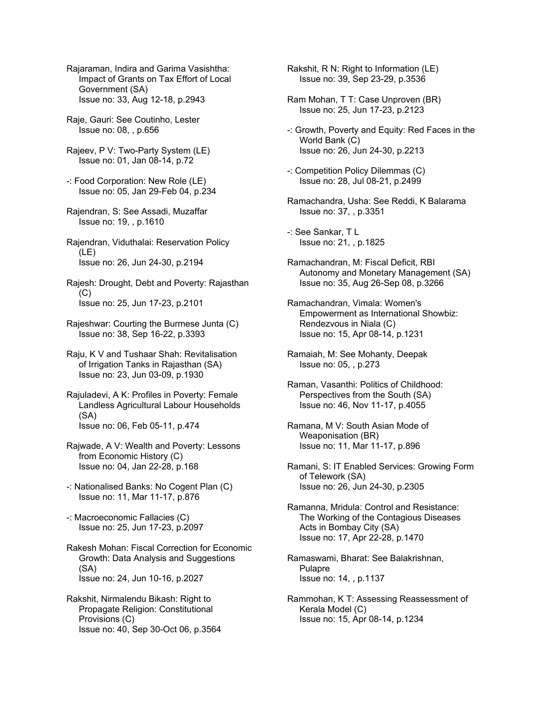Rajaraman, Indira and Garima Vasishtha: Impact of Grants on Tax Effort of Local Government (SA) Issue no: 33, Aug 12-18, p.2943

- Raje, Gauri: See Coutinho, Lester Issue no: 08, , p.656
- Rajeev, P V: Two-Party System (LE) Issue no: 01, Jan 08-14, p.72
- -: Food Corporation: New Role (LE) Issue no: 05, Jan 29-Feb 04, p.234
- Rajendran, S: See Assadi, Muzaffar Issue no: 19, , p.1610
- Rajendran, Viduthalai: Reservation Policy (LE) Issue no: 26, Jun 24-30, p.2194
- Rajesh: Drought, Debt and Poverty: Rajasthan (C) Issue no: 25, Jun 17-23, p.2101
- Rajeshwar: Courting the Burmese Junta (C) Issue no: 38, Sep 16-22, p.3393
- Raju, K V and Tushaar Shah: Revitalisation of Irrigation Tanks in Rajasthan (SA) Issue no: 23, Jun 03-09, p.1930
- Rajuladevi, A K: Profiles in Poverty: Female Landless Agricultural Labour Households (SA) Issue no: 06, Feb 05-11, p.474
- Rajwade, A V: Wealth and Poverty: Lessons from Economic History (C) Issue no: 04, Jan 22-28, p.168
- -: Nationalised Banks: No Cogent Plan (C) Issue no: 11, Mar 11-17, p.876
- -: Macroeconomic Fallacies (C) Issue no: 25, Jun 17-23, p.2097
- Rakesh Mohan: Fiscal Correction for Economic Growth: Data Analysis and Suggestions (SA) Issue no: 24, Jun 10-16, p.2027
- Rakshit, Nirmalendu Bikash: Right to Propagate Religion: Constitutional Provisions (C) Issue no: 40, Sep 30-Oct 06, p.3564

Rakshit, R N: Right to Information (LE) Issue no: 39, Sep 23-29, p.3536

- Ram Mohan, T T: Case Unproven (BR) Issue no: 25, Jun 17-23, p.2123
- -: Growth, Poverty and Equity: Red Faces in the World Bank (C) Issue no: 26, Jun 24-30, p.2213
- -: Competition Policy Dilemmas (C) Issue no: 28, Jul 08-21, p.2499
- Ramachandra, Usha: See Reddi, K Balarama Issue no: 37, , p.3351
- -: See Sankar, T L Issue no: 21, , p.1825
- Ramachandran, M: Fiscal Deficit, RBI Autonomy and Monetary Management (SA) Issue no: 35, Aug 26-Sep 08, p.3266
- Ramachandran, Vimala: Women's Empowerment as International Showbiz: Rendezvous in Niala (C) Issue no: 15, Apr 08-14, p.1231
- Ramaiah, M: See Mohanty, Deepak Issue no: 05, , p.273
- Raman, Vasanthi: Politics of Childhood: Perspectives from the South (SA) Issue no: 46, Nov 11-17, p.4055
- Ramana, M V: South Asian Mode of Weaponisation (BR) Issue no: 11, Mar 11-17, p.896
- Ramani, S: IT Enabled Services: Growing Form of Telework (SA) Issue no: 26, Jun 24-30, p.2305
- Ramanna, Mridula: Control and Resistance: The Working of the Contagious Diseases Acts in Bombay City (SA) Issue no: 17, Apr 22-28, p.1470
- Ramaswami, Bharat: See Balakrishnan, Pulapre Issue no: 14, , p.1137
- Rammohan, K T: Assessing Reassessment of Kerala Model (C) Issue no: 15, Apr 08-14, p.1234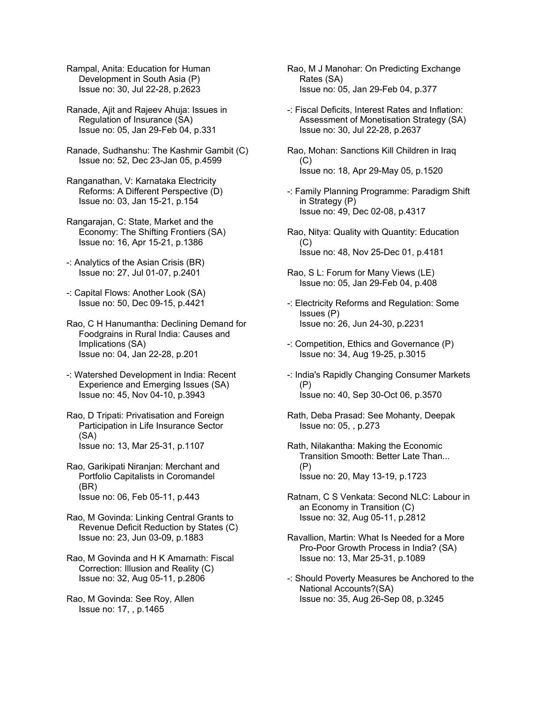Rampal, Anita: Education for Human Development in South Asia (P) Issue no: 30, Jul 22-28, p.2623

Ranade, Ajit and Rajeev Ahuja: Issues in Regulation of Insurance (SA) Issue no: 05, Jan 29-Feb 04, p.331

Ranade, Sudhanshu: The Kashmir Gambit (C) Issue no: 52, Dec 23-Jan 05, p.4599

Ranganathan, V: Karnataka Electricity Reforms: A Different Perspective (D) Issue no: 03, Jan 15-21, p.154

Rangarajan, C: State, Market and the Economy: The Shifting Frontiers (SA) Issue no: 16, Apr 15-21, p.1386

-: Analytics of the Asian Crisis (BR) Issue no: 27, Jul 01-07, p.2401

-: Capital Flows: Another Look (SA) Issue no: 50, Dec 09-15, p.4421

Rao, C H Hanumantha: Declining Demand for Foodgrains in Rural India: Causes and Implications (SA) Issue no: 04, Jan 22-28, p.201

-: Watershed Development in India: Recent Experience and Emerging Issues (SA) Issue no: 45, Nov 04-10, p.3943

Rao, D Tripati: Privatisation and Foreign Participation in Life Insurance Sector (SA) Issue no: 13, Mar 25-31, p.1107

Rao, Garikipati Niranjan: Merchant and Portfolio Capitalists in Coromandel (BR) Issue no: 06, Feb 05-11, p.443

Rao, M Govinda: Linking Central Grants to Revenue Deficit Reduction by States (C) Issue no: 23, Jun 03-09, p.1883

Rao, M Govinda and H K Amarnath: Fiscal Correction: Illusion and Reality (C) Issue no: 32, Aug 05-11, p.2806

Rao, M Govinda: See Roy, Allen Issue no: 17, , p.1465

Rao, M J Manohar: On Predicting Exchange Rates (SA) Issue no: 05, Jan 29-Feb 04, p.377

-: Fiscal Deficits, Interest Rates and Inflation: Assessment of Monetisation Strategy (SA) Issue no: 30, Jul 22-28, p.2637

Rao, Mohan: Sanctions Kill Children in Iraq  $(C)$ Issue no: 18, Apr 29-May 05, p.1520

-: Family Planning Programme: Paradigm Shift in Strategy (P) Issue no: 49, Dec 02-08, p.4317

Rao, Nitya: Quality with Quantity: Education (C) Issue no: 48, Nov 25-Dec 01, p.4181

Rao, S L: Forum for Many Views (LE) Issue no: 05, Jan 29-Feb 04, p.408

-: Electricity Reforms and Regulation: Some Issues (P) Issue no: 26, Jun 24-30, p.2231

-: Competition, Ethics and Governance (P) Issue no: 34, Aug 19-25, p.3015

-: India's Rapidly Changing Consumer Markets (P) Issue no: 40, Sep 30-Oct 06, p.3570

Rath, Deba Prasad: See Mohanty, Deepak Issue no: 05, , p.273

Rath, Nilakantha: Making the Economic Transition Smooth: Better Late Than... (P) Issue no: 20, May 13-19, p.1723

Ratnam, C S Venkata: Second NLC: Labour in an Economy in Transition (C) Issue no: 32, Aug 05-11, p.2812

Ravallion, Martin: What Is Needed for a More Pro-Poor Growth Process in India? (SA) Issue no: 13, Mar 25-31, p.1089

-: Should Poverty Measures be Anchored to the National Accounts?(SA) Issue no: 35, Aug 26-Sep 08, p.3245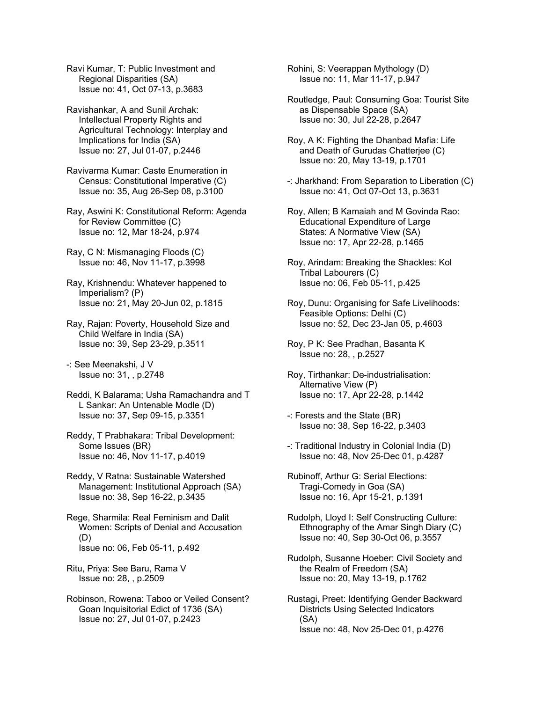Ravi Kumar, T: Public Investment and Regional Disparities (SA) Issue no: 41, Oct 07-13, p.3683

Ravishankar, A and Sunil Archak: Intellectual Property Rights and Agricultural Technology: Interplay and Implications for India (SA) Issue no: 27, Jul 01-07, p.2446

Ravivarma Kumar: Caste Enumeration in Census: Constitutional Imperative (C) Issue no: 35, Aug 26-Sep 08, p.3100

Ray, Aswini K: Constitutional Reform: Agenda for Review Committee (C) Issue no: 12, Mar 18-24, p.974

Ray, C N: Mismanaging Floods (C) Issue no: 46, Nov 11-17, p.3998

Ray, Krishnendu: Whatever happened to Imperialism? (P) Issue no: 21, May 20-Jun 02, p.1815

Ray, Rajan: Poverty, Household Size and Child Welfare in India (SA) Issue no: 39, Sep 23-29, p.3511

-: See Meenakshi, J V Issue no: 31, , p.2748

Reddi, K Balarama; Usha Ramachandra and T L Sankar: An Untenable Modle (D) Issue no: 37, Sep 09-15, p.3351

Reddy, T Prabhakara: Tribal Development: Some Issues (BR) Issue no: 46, Nov 11-17, p.4019

Reddy, V Ratna: Sustainable Watershed Management: Institutional Approach (SA) Issue no: 38, Sep 16-22, p.3435

Rege, Sharmila: Real Feminism and Dalit Women: Scripts of Denial and Accusation (D) Issue no: 06, Feb 05-11, p.492

Ritu, Priya: See Baru, Rama V Issue no: 28, , p.2509

Robinson, Rowena: Taboo or Veiled Consent? Goan Inquisitorial Edict of 1736 (SA) Issue no: 27, Jul 01-07, p.2423

Rohini, S: Veerappan Mythology (D) Issue no: 11, Mar 11-17, p.947

Routledge, Paul: Consuming Goa: Tourist Site as Dispensable Space (SA) Issue no: 30, Jul 22-28, p.2647

Roy, A K: Fighting the Dhanbad Mafia: Life and Death of Gurudas Chatterjee (C) Issue no: 20, May 13-19, p.1701

-: Jharkhand: From Separation to Liberation (C) Issue no: 41, Oct 07-Oct 13, p.3631

Roy, Allen; B Kamaiah and M Govinda Rao: Educational Expenditure of Large States: A Normative View (SA) Issue no: 17, Apr 22-28, p.1465

Roy, Arindam: Breaking the Shackles: Kol Tribal Labourers (C) Issue no: 06, Feb 05-11, p.425

Roy, Dunu: Organising for Safe Livelihoods: Feasible Options: Delhi (C) Issue no: 52, Dec 23-Jan 05, p.4603

Roy, P K: See Pradhan, Basanta K Issue no: 28, , p.2527

Roy, Tirthankar: De-industrialisation: Alternative View (P) Issue no: 17, Apr 22-28, p.1442

-: Forests and the State (BR) Issue no: 38, Sep 16-22, p.3403

-: Traditional Industry in Colonial India (D) Issue no: 48, Nov 25-Dec 01, p.4287

Rubinoff, Arthur G: Serial Elections: Tragi-Comedy in Goa (SA) Issue no: 16, Apr 15-21, p.1391

Rudolph, Lloyd I: Self Constructing Culture: Ethnography of the Amar Singh Diary (C) Issue no: 40, Sep 30-Oct 06, p.3557

Rudolph, Susanne Hoeber: Civil Society and the Realm of Freedom (SA) Issue no: 20, May 13-19, p.1762

Rustagi, Preet: Identifying Gender Backward Districts Using Selected Indicators (SA) Issue no: 48, Nov 25-Dec 01, p.4276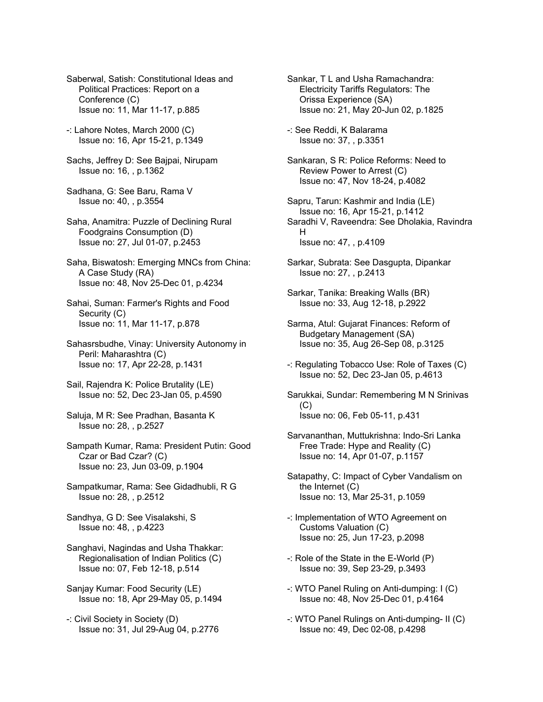Saberwal, Satish: Constitutional Ideas and Political Practices: Report on a Conference (C) Issue no: 11, Mar 11-17, p.885

- -: Lahore Notes, March 2000 (C) Issue no: 16, Apr 15-21, p.1349
- Sachs, Jeffrey D: See Bajpai, Nirupam Issue no: 16, , p.1362
- Sadhana, G: See Baru, Rama V Issue no: 40, , p.3554
- Saha, Anamitra: Puzzle of Declining Rural Foodgrains Consumption (D) Issue no: 27, Jul 01-07, p.2453
- Saha, Biswatosh: Emerging MNCs from China: A Case Study (RA) Issue no: 48, Nov 25-Dec 01, p.4234
- Sahai, Suman: Farmer's Rights and Food Security (C) Issue no: 11, Mar 11-17, p.878
- Sahasrsbudhe, Vinay: University Autonomy in Peril: Maharashtra (C) Issue no: 17, Apr 22-28, p.1431
- Sail, Rajendra K: Police Brutality (LE) Issue no: 52, Dec 23-Jan 05, p.4590
- Saluja, M R: See Pradhan, Basanta K Issue no: 28, , p.2527
- Sampath Kumar, Rama: President Putin: Good Czar or Bad Czar? (C) Issue no: 23, Jun 03-09, p.1904
- Sampatkumar, Rama: See Gidadhubli, R G Issue no: 28, , p.2512
- Sandhya, G D: See Visalakshi, S Issue no: 48, , p.4223
- Sanghavi, Nagindas and Usha Thakkar: Regionalisation of Indian Politics (C) Issue no: 07, Feb 12-18, p.514
- Sanjay Kumar: Food Security (LE) Issue no: 18, Apr 29-May 05, p.1494
- -: Civil Society in Society (D) Issue no: 31, Jul 29-Aug 04, p.2776
- Sankar, T L and Usha Ramachandra: Electricity Tariffs Regulators: The Orissa Experience (SA) Issue no: 21, May 20-Jun 02, p.1825
- -: See Reddi, K Balarama Issue no: 37, , p.3351
- Sankaran, S R: Police Reforms: Need to Review Power to Arrest (C) Issue no: 47, Nov 18-24, p.4082
- Sapru, Tarun: Kashmir and India (LE) Issue no: 16, Apr 15-21, p.1412 Saradhi V, Raveendra: See Dholakia, Ravindra H Issue no: 47, , p.4109
- Sarkar, Subrata: See Dasgupta, Dipankar Issue no: 27, , p.2413
- Sarkar, Tanika: Breaking Walls (BR) Issue no: 33, Aug 12-18, p.2922
- Sarma, Atul: Gujarat Finances: Reform of Budgetary Management (SA) Issue no: 35, Aug 26-Sep 08, p.3125
- -: Regulating Tobacco Use: Role of Taxes (C) Issue no: 52, Dec 23-Jan 05, p.4613
- Sarukkai, Sundar: Remembering M N Srinivas  $(C)$ Issue no: 06, Feb 05-11, p.431
- Sarvananthan, Muttukrishna: Indo-Sri Lanka Free Trade: Hype and Reality (C) Issue no: 14, Apr 01-07, p.1157
- Satapathy, C: Impact of Cyber Vandalism on the Internet (C) Issue no: 13, Mar 25-31, p.1059
- -: Implementation of WTO Agreement on Customs Valuation (C) Issue no: 25, Jun 17-23, p.2098
- -: Role of the State in the E-World (P) Issue no: 39, Sep 23-29, p.3493
- -: WTO Panel Ruling on Anti-dumping: I (C) Issue no: 48, Nov 25-Dec 01, p.4164
- -: WTO Panel Rulings on Anti-dumping- II (C) Issue no: 49, Dec 02-08, p.4298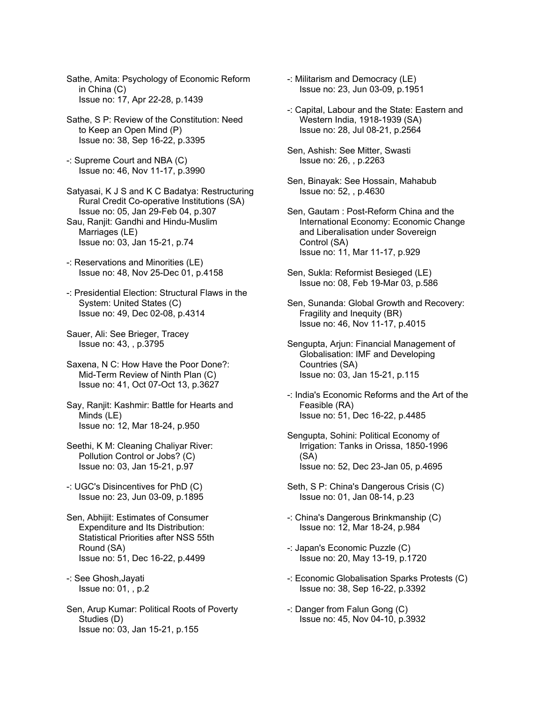Sathe, Amita: Psychology of Economic Reform in China (C) Issue no: 17, Apr 22-28, p.1439

Sathe, S P: Review of the Constitution: Need to Keep an Open Mind (P) Issue no: 38, Sep 16-22, p.3395

-: Supreme Court and NBA (C) Issue no: 46, Nov 11-17, p.3990

Satyasai, K J S and K C Badatya: Restructuring Rural Credit Co-operative Institutions (SA) Issue no: 05, Jan 29-Feb 04, p.307 Sau, Ranjit: Gandhi and Hindu-Muslim Marriages (LE) Issue no: 03, Jan 15-21, p.74

-: Reservations and Minorities (LE) Issue no: 48, Nov 25-Dec 01, p.4158

-: Presidential Election: Structural Flaws in the System: United States (C) Issue no: 49, Dec 02-08, p.4314

Sauer, Ali: See Brieger, Tracey Issue no: 43, , p.3795

Saxena, N C: How Have the Poor Done?: Mid-Term Review of Ninth Plan (C) Issue no: 41, Oct 07-Oct 13, p.3627

Say, Ranjit: Kashmir: Battle for Hearts and Minds (LE) Issue no: 12, Mar 18-24, p.950

Seethi, K M: Cleaning Chaliyar River: Pollution Control or Jobs? (C) Issue no: 03, Jan 15-21, p.97

-: UGC's Disincentives for PhD (C) Issue no: 23, Jun 03-09, p.1895

Sen, Abhijit: Estimates of Consumer Expenditure and Its Distribution: Statistical Priorities after NSS 55th Round (SA) Issue no: 51, Dec 16-22, p.4499

-: See Ghosh,Jayati Issue no: 01, , p.2

Sen, Arup Kumar: Political Roots of Poverty Studies (D) Issue no: 03, Jan 15-21, p.155

-: Militarism and Democracy (LE) Issue no: 23, Jun 03-09, p.1951

-: Capital, Labour and the State: Eastern and Western India, 1918-1939 (SA) Issue no: 28, Jul 08-21, p.2564

Sen, Ashish: See Mitter, Swasti Issue no: 26, , p.2263

Sen, Binayak: See Hossain, Mahabub Issue no: 52, , p.4630

Sen, Gautam : Post-Reform China and the International Economy: Economic Change and Liberalisation under Sovereign Control (SA) Issue no: 11, Mar 11-17, p.929

Sen, Sukla: Reformist Besieged (LE) Issue no: 08, Feb 19-Mar 03, p.586

Sen, Sunanda: Global Growth and Recovery: Fragility and Inequity (BR) Issue no: 46, Nov 11-17, p.4015

Sengupta, Arjun: Financial Management of Globalisation: IMF and Developing Countries (SA) Issue no: 03, Jan 15-21, p.115

-: India's Economic Reforms and the Art of the Feasible (RA) Issue no: 51, Dec 16-22, p.4485

Sengupta, Sohini: Political Economy of Irrigation: Tanks in Orissa, 1850-1996 (SA) Issue no: 52, Dec 23-Jan 05, p.4695

Seth, S P: China's Dangerous Crisis (C) Issue no: 01, Jan 08-14, p.23

-: China's Dangerous Brinkmanship (C) Issue no: 12, Mar 18-24, p.984

-: Japan's Economic Puzzle (C) Issue no: 20, May 13-19, p.1720

-: Economic Globalisation Sparks Protests (C) Issue no: 38, Sep 16-22, p.3392

-: Danger from Falun Gong (C) Issue no: 45, Nov 04-10, p.3932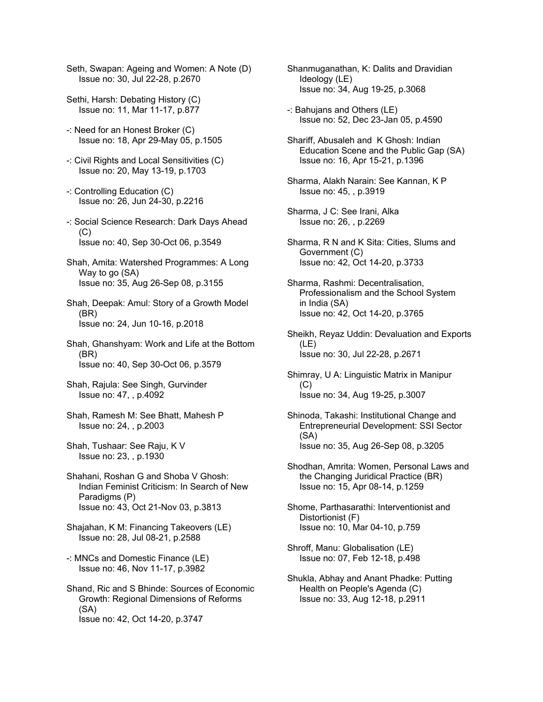Seth, Swapan: Ageing and Women: A Note (D) Issue no: 30, Jul 22-28, p.2670

- Sethi, Harsh: Debating History (C) Issue no: 11, Mar 11-17, p.877
- -: Need for an Honest Broker (C) Issue no: 18, Apr 29-May 05, p.1505
- -: Civil Rights and Local Sensitivities (C) Issue no: 20, May 13-19, p.1703
- -: Controlling Education (C) Issue no: 26, Jun 24-30, p.2216
- -: Social Science Research: Dark Days Ahead  $(C)$ Issue no: 40, Sep 30-Oct 06, p.3549
- Shah, Amita: Watershed Programmes: A Long Way to go (SA) Issue no: 35, Aug 26-Sep 08, p.3155
- Shah, Deepak: Amul: Story of a Growth Model (BR) Issue no: 24, Jun 10-16, p.2018
- Shah, Ghanshyam: Work and Life at the Bottom (BR) Issue no: 40, Sep 30-Oct 06, p.3579
- Shah, Rajula: See Singh, Gurvinder Issue no: 47, , p.4092
- Shah, Ramesh M: See Bhatt, Mahesh P Issue no: 24, , p.2003
- Shah, Tushaar: See Raju, K V Issue no: 23, , p.1930
- Shahani, Roshan G and Shoba V Ghosh: Indian Feminist Criticism: In Search of New Paradigms (P) Issue no: 43, Oct 21-Nov 03, p.3813
- Shajahan, K M: Financing Takeovers (LE) Issue no: 28, Jul 08-21, p.2588
- -: MNCs and Domestic Finance (LE) Issue no: 46, Nov 11-17, p.3982
- Shand, Ric and S Bhinde: Sources of Economic Growth: Regional Dimensions of Reforms (SA) Issue no: 42, Oct 14-20, p.3747
- Shanmuganathan, K: Dalits and Dravidian Ideology (LE) Issue no: 34, Aug 19-25, p.3068
- -: Bahujans and Others (LE) Issue no: 52, Dec 23-Jan 05, p.4590
- Shariff, Abusaleh and K Ghosh: Indian Education Scene and the Public Gap (SA) Issue no: 16, Apr 15-21, p.1396
- Sharma, Alakh Narain: See Kannan, K P Issue no: 45, , p.3919
- Sharma, J C: See Irani, Alka Issue no: 26, , p.2269
- Sharma, R N and K Sita: Cities, Slums and Government (C) Issue no: 42, Oct 14-20, p.3733
- Sharma, Rashmi: Decentralisation, Professionalism and the School System in India (SA) Issue no: 42, Oct 14-20, p.3765
- Sheikh, Reyaz Uddin: Devaluation and Exports (LE) Issue no: 30, Jul 22-28, p.2671
- Shimray, U A: Linguistic Matrix in Manipur (C) Issue no: 34, Aug 19-25, p.3007
- Shinoda, Takashi: Institutional Change and Entrepreneurial Development: SSI Sector (SA) Issue no: 35, Aug 26-Sep 08, p.3205
- Shodhan, Amrita: Women, Personal Laws and the Changing Juridical Practice (BR) Issue no: 15, Apr 08-14, p.1259
- Shome, Parthasarathi: Interventionist and Distortionist (F) Issue no: 10, Mar 04-10, p.759
- Shroff, Manu: Globalisation (LE) Issue no: 07, Feb 12-18, p.498
- Shukla, Abhay and Anant Phadke: Putting Health on People's Agenda (C) Issue no: 33, Aug 12-18, p.2911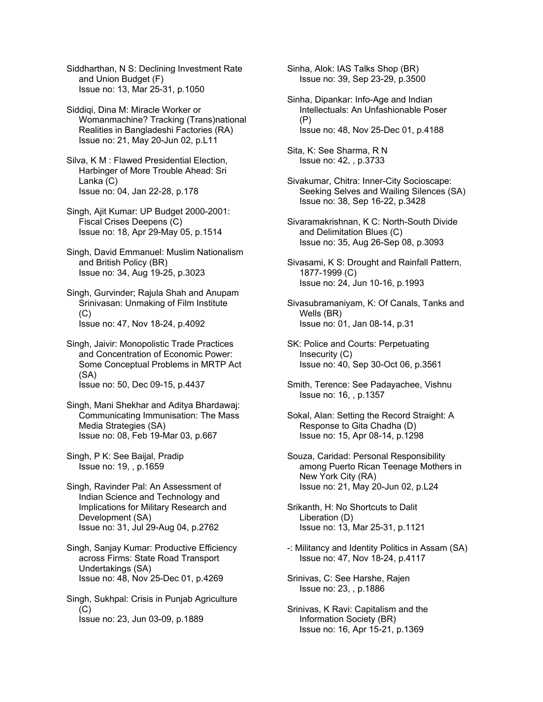Siddharthan, N S: Declining Investment Rate and Union Budget (F) Issue no: 13, Mar 25-31, p.1050

Siddiqi, Dina M: Miracle Worker or Womanmachine? Tracking (Trans)national Realities in Bangladeshi Factories (RA) Issue no: 21, May 20-Jun 02, p.L11

Silva, K M : Flawed Presidential Election, Harbinger of More Trouble Ahead: Sri Lanka (C) Issue no: 04, Jan 22-28, p.178

Singh, Ajit Kumar: UP Budget 2000-2001: Fiscal Crises Deepens (C) Issue no: 18, Apr 29-May 05, p.1514

Singh, David Emmanuel: Muslim Nationalism and British Policy (BR) Issue no: 34, Aug 19-25, p.3023

Singh, Gurvinder; Rajula Shah and Anupam Srinivasan: Unmaking of Film Institute  $(C)$ Issue no: 47, Nov 18-24, p.4092

Singh, Jaivir: Monopolistic Trade Practices and Concentration of Economic Power: Some Conceptual Problems in MRTP Act (SA) Issue no: 50, Dec 09-15, p.4437

Singh, Mani Shekhar and Aditya Bhardawaj: Communicating Immunisation: The Mass Media Strategies (SA) Issue no: 08, Feb 19-Mar 03, p.667

Singh, P K: See Baijal, Pradip Issue no: 19, , p.1659

Singh, Ravinder Pal: An Assessment of Indian Science and Technology and Implications for Military Research and Development (SA) Issue no: 31, Jul 29-Aug 04, p.2762

Singh, Sanjay Kumar: Productive Efficiency across Firms: State Road Transport Undertakings (SA) Issue no: 48, Nov 25-Dec 01, p.4269

Singh, Sukhpal: Crisis in Punjab Agriculture (C) Issue no: 23, Jun 03-09, p.1889

Sinha, Alok: IAS Talks Shop (BR) Issue no: 39, Sep 23-29, p.3500

Sinha, Dipankar: Info-Age and Indian Intellectuals: An Unfashionable Poser (P) Issue no: 48, Nov 25-Dec 01, p.4188

Sita, K: See Sharma, R N Issue no: 42, , p.3733

Sivakumar, Chitra: Inner-City Socioscape: Seeking Selves and Wailing Silences (SA) Issue no: 38, Sep 16-22, p.3428

Sivaramakrishnan, K C: North-South Divide and Delimitation Blues (C) Issue no: 35, Aug 26-Sep 08, p.3093

Sivasami, K S: Drought and Rainfall Pattern, 1877-1999 (C) Issue no: 24, Jun 10-16, p.1993

Sivasubramaniyam, K: Of Canals, Tanks and Wells (BR) Issue no: 01, Jan 08-14, p.31

SK: Police and Courts: Perpetuating Insecurity (C) Issue no: 40, Sep 30-Oct 06, p.3561

Smith, Terence: See Padayachee, Vishnu Issue no: 16, , p.1357

Sokal, Alan: Setting the Record Straight: A Response to Gita Chadha (D) Issue no: 15, Apr 08-14, p.1298

Souza, Caridad: Personal Responsibility among Puerto Rican Teenage Mothers in New York City (RA) Issue no: 21, May 20-Jun 02, p.L24

Srikanth, H: No Shortcuts to Dalit Liberation (D) Issue no: 13, Mar 25-31, p.1121

-: Militancy and Identity Politics in Assam (SA) Issue no: 47, Nov 18-24, p.4117

Srinivas, C: See Harshe, Rajen Issue no: 23, , p.1886

Srinivas, K Ravi: Capitalism and the Information Society (BR) Issue no: 16, Apr 15-21, p.1369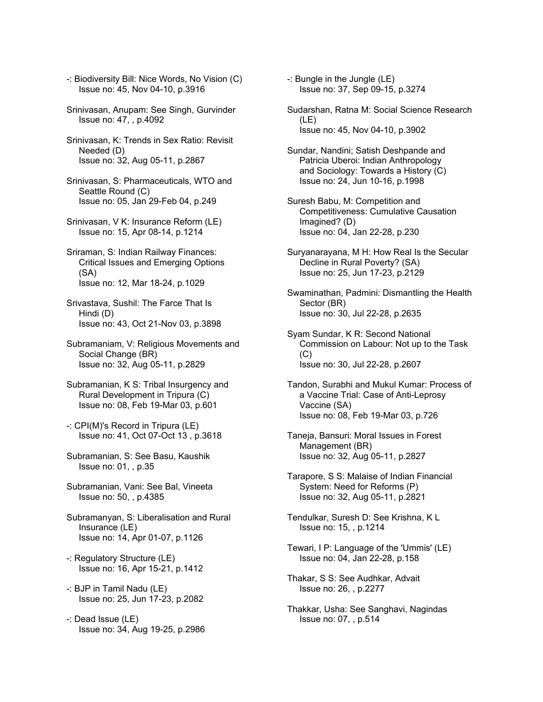- -: Biodiversity Bill: Nice Words, No Vision (C) Issue no: 45, Nov 04-10, p.3916
- Srinivasan, Anupam: See Singh, Gurvinder Issue no: 47, , p.4092
- Srinivasan, K: Trends in Sex Ratio: Revisit Needed (D) Issue no: 32, Aug 05-11, p.2867
- Srinivasan, S: Pharmaceuticals, WTO and Seattle Round (C) Issue no: 05, Jan 29-Feb 04, p.249
- Srinivasan, V K: Insurance Reform (LE) Issue no: 15, Apr 08-14, p.1214
- Sriraman, S: Indian Railway Finances: Critical Issues and Emerging Options (SA) Issue no: 12, Mar 18-24, p.1029
- Srivastava, Sushil: The Farce That Is Hindi (D) Issue no: 43, Oct 21-Nov 03, p.3898
- Subramaniam, V: Religious Movements and Social Change (BR) Issue no: 32, Aug 05-11, p.2829
- Subramanian, K S: Tribal Insurgency and Rural Development in Tripura (C) Issue no: 08, Feb 19-Mar 03, p.601
- -: CPI(M)'s Record in Tripura (LE) Issue no: 41, Oct 07-Oct 13 , p.3618
- Subramanian, S: See Basu, Kaushik Issue no: 01, , p.35
- Subramanian, Vani: See Bal, Vineeta Issue no: 50, , p.4385
- Subramanyan, S: Liberalisation and Rural Insurance (LE) Issue no: 14, Apr 01-07, p.1126
- -: Regulatory Structure (LE) Issue no: 16, Apr 15-21, p.1412
- -: BJP in Tamil Nadu (LE) Issue no: 25, Jun 17-23, p.2082
- -: Dead Issue (LE) Issue no: 34, Aug 19-25, p.2986
- -: Bungle in the Jungle (LE) Issue no: 37, Sep 09-15, p.3274
- Sudarshan, Ratna M: Social Science Research (LE) Issue no: 45, Nov 04-10, p.3902
- Sundar, Nandini; Satish Deshpande and Patricia Uberoi: Indian Anthropology and Sociology: Towards a History (C) Issue no: 24, Jun 10-16, p.1998
- Suresh Babu, M: Competition and Competitiveness: Cumulative Causation Imagined? (D) Issue no: 04, Jan 22-28, p.230
- Suryanarayana, M H: How Real Is the Secular Decline in Rural Poverty? (SA) Issue no: 25, Jun 17-23, p.2129
- Swaminathan, Padmini: Dismantling the Health Sector (BR) Issue no: 30, Jul 22-28, p.2635
- Syam Sundar, K R: Second National Commission on Labour: Not up to the Task (C) Issue no: 30, Jul 22-28, p.2607
- Tandon, Surabhi and Mukul Kumar: Process of a Vaccine Trial: Case of Anti-Leprosy Vaccine (SA) Issue no: 08, Feb 19-Mar 03, p.726
- Taneja, Bansuri: Moral Issues in Forest Management (BR) Issue no: 32, Aug 05-11, p.2827
- Tarapore, S S: Malaise of Indian Financial System: Need for Reforms (P) Issue no: 32, Aug 05-11, p.2821
- Tendulkar, Suresh D: See Krishna, K L Issue no: 15, , p.1214
- Tewari, I P: Language of the 'Ummis' (LE) Issue no: 04, Jan 22-28, p.158
- Thakar, S S: See Audhkar, Advait Issue no: 26, , p.2277
- Thakkar, Usha: See Sanghavi, Nagindas Issue no: 07, , p.514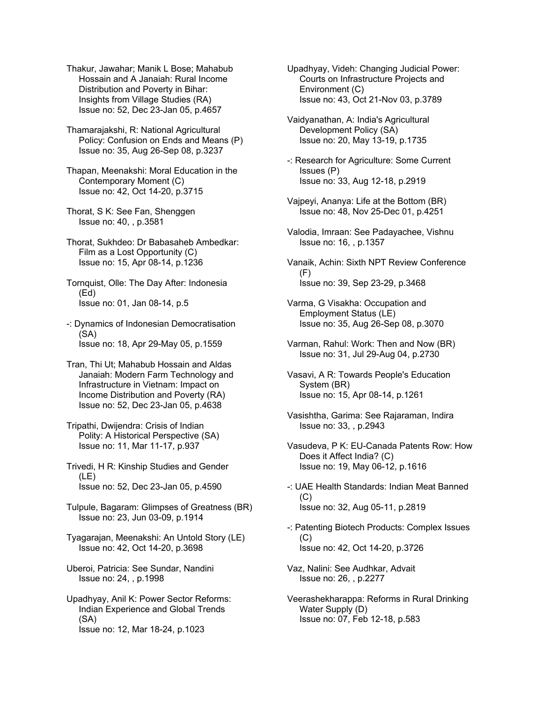Thakur, Jawahar; Manik L Bose; Mahabub Hossain and A Janaiah: Rural Income Distribution and Poverty in Bihar: Insights from Village Studies (RA) Issue no: 52, Dec 23-Jan 05, p.4657

Thamarajakshi, R: National Agricultural Policy: Confusion on Ends and Means (P) Issue no: 35, Aug 26-Sep 08, p.3237

Thapan, Meenakshi: Moral Education in the Contemporary Moment (C) Issue no: 42, Oct 14-20, p.3715

Thorat, S K: See Fan, Shenggen Issue no: 40, , p.3581

Thorat, Sukhdeo: Dr Babasaheb Ambedkar: Film as a Lost Opportunity (C) Issue no: 15, Apr 08-14, p.1236

Tornquist, Olle: The Day After: Indonesia (Ed) Issue no: 01, Jan 08-14, p.5

-: Dynamics of Indonesian Democratisation (SA) Issue no: 18, Apr 29-May 05, p.1559

Tran, Thi Ut; Mahabub Hossain and Aldas Janaiah: Modern Farm Technology and Infrastructure in Vietnam: Impact on Income Distribution and Poverty (RA) Issue no: 52, Dec 23-Jan 05, p.4638

Tripathi, Dwijendra: Crisis of Indian Polity: A Historical Perspective (SA) Issue no: 11, Mar 11-17, p.937

Trivedi, H R: Kinship Studies and Gender (LE) Issue no: 52, Dec 23-Jan 05, p.4590

Tulpule, Bagaram: Glimpses of Greatness (BR) Issue no: 23, Jun 03-09, p.1914

Tyagarajan, Meenakshi: An Untold Story (LE) Issue no: 42, Oct 14-20, p.3698

Uberoi, Patricia: See Sundar, Nandini Issue no: 24, , p.1998

Upadhyay, Anil K: Power Sector Reforms: Indian Experience and Global Trends (SA) Issue no: 12, Mar 18-24, p.1023

Upadhyay, Videh: Changing Judicial Power: Courts on Infrastructure Projects and Environment (C) Issue no: 43, Oct 21-Nov 03, p.3789

Vaidyanathan, A: India's Agricultural Development Policy (SA) Issue no: 20, May 13-19, p.1735

-: Research for Agriculture: Some Current Issues (P) Issue no: 33, Aug 12-18, p.2919

Vajpeyi, Ananya: Life at the Bottom (BR) Issue no: 48, Nov 25-Dec 01, p.4251

Valodia, Imraan: See Padayachee, Vishnu Issue no: 16, , p.1357

Vanaik, Achin: Sixth NPT Review Conference  $(F)$ Issue no: 39, Sep 23-29, p.3468

Varma, G Visakha: Occupation and Employment Status (LE) Issue no: 35, Aug 26-Sep 08, p.3070

Varman, Rahul: Work: Then and Now (BR) Issue no: 31, Jul 29-Aug 04, p.2730

Vasavi, A R: Towards People's Education System (BR) Issue no: 15, Apr 08-14, p.1261

Vasishtha, Garima: See Rajaraman, Indira Issue no: 33, , p.2943

Vasudeva, P K: EU-Canada Patents Row: How Does it Affect India? (C) Issue no: 19, May 06-12, p.1616

-: UAE Health Standards: Indian Meat Banned (C) Issue no: 32, Aug 05-11, p.2819

-: Patenting Biotech Products: Complex Issues (C) Issue no: 42, Oct 14-20, p.3726

Vaz, Nalini: See Audhkar, Advait Issue no: 26, , p.2277

Veerashekharappa: Reforms in Rural Drinking Water Supply (D) Issue no: 07, Feb 12-18, p.583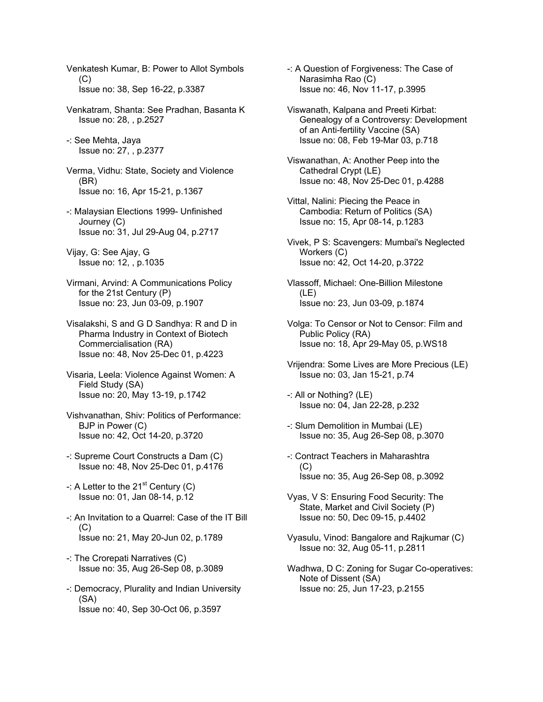Venkatesh Kumar, B: Power to Allot Symbols  $(C)$  Issue no: 38, Sep 16-22, p.3387 Venkatram, Shanta: See Pradhan, Basanta K Issue no: 28, , p.2527 -: See Mehta, Jaya Issue no: 27, , p.2377 Verma, Vidhu: State, Society and Violence (BR) Issue no: 16, Apr 15-21, p.1367 -: Malaysian Elections 1999- Unfinished Journey (C) Issue no: 31, Jul 29-Aug 04, p.2717 Vijay, G: See Ajay, G Issue no: 12, , p.1035 Virmani, Arvind: A Communications Policy for the 21st Century (P) Issue no: 23, Jun 03-09, p.1907 Visalakshi, S and G D Sandhya: R and D in Pharma Industry in Context of Biotech Commercialisation (RA) Issue no: 48, Nov 25-Dec 01, p.4223 Visaria, Leela: Violence Against Women: A Field Study (SA) Issue no: 20, May 13-19, p.1742 Vishvanathan, Shiv: Politics of Performance: BJP in Power (C) Issue no: 42, Oct 14-20, p.3720 -: Supreme Court Constructs a Dam (C) Issue no: 48, Nov 25-Dec 01, p.4176  $-$ : A Letter to the 21<sup>st</sup> Century (C) Issue no: 01, Jan 08-14, p.12 -: An Invitation to a Quarrel: Case of the IT Bill  $(C)$  Issue no: 21, May 20-Jun 02, p.1789 -: The Crorepati Narratives (C) Issue no: 35, Aug 26-Sep 08, p.3089 -: Democracy, Plurality and Indian University (SA) Issue no: 40, Sep 30-Oct 06, p.3597

-: A Question of Forgiveness: The Case of Narasimha Rao (C) Issue no: 46, Nov 11-17, p.3995

Viswanath, Kalpana and Preeti Kirbat: Genealogy of a Controversy: Development of an Anti-fertility Vaccine (SA) Issue no: 08, Feb 19-Mar 03, p.718

Viswanathan, A: Another Peep into the Cathedral Crypt (LE) Issue no: 48, Nov 25-Dec 01, p.4288

- Vittal, Nalini: Piecing the Peace in Cambodia: Return of Politics (SA) Issue no: 15, Apr 08-14, p.1283
- Vivek, P S: Scavengers: Mumbai's Neglected Workers (C) Issue no: 42, Oct 14-20, p.3722

Vlassoff, Michael: One-Billion Milestone (LE) Issue no: 23, Jun 03-09, p.1874

- Volga: To Censor or Not to Censor: Film and Public Policy (RA) Issue no: 18, Apr 29-May 05, p.WS18
- Vrijendra: Some Lives are More Precious (LE) Issue no: 03, Jan 15-21, p.74

-: All or Nothing? (LE) Issue no: 04, Jan 22-28, p.232

- -: Slum Demolition in Mumbai (LE) Issue no: 35, Aug 26-Sep 08, p.3070
- -: Contract Teachers in Maharashtra  $(C)$ Issue no: 35, Aug 26-Sep 08, p.3092
- Vyas, V S: Ensuring Food Security: The State, Market and Civil Society (P) Issue no: 50, Dec 09-15, p.4402
- Vyasulu, Vinod: Bangalore and Rajkumar (C) Issue no: 32, Aug 05-11, p.2811
- Wadhwa, D C: Zoning for Sugar Co-operatives: Note of Dissent (SA) Issue no: 25, Jun 17-23, p.2155